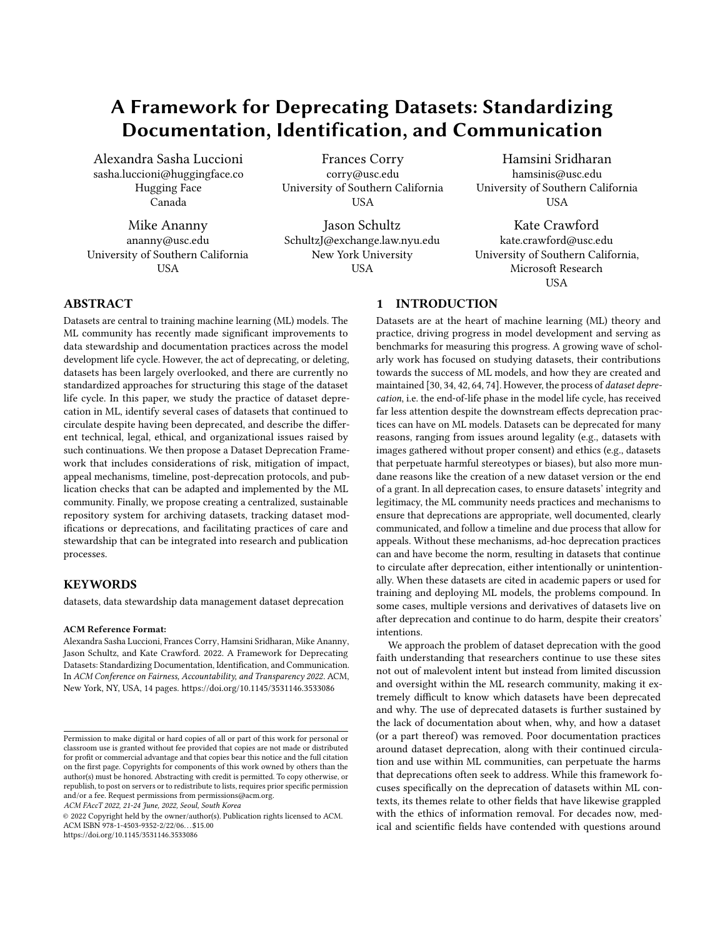# A Framework for Deprecating Datasets: Standardizing Documentation, Identification, and Communication

Alexandra Sasha Luccioni sasha.luccioni@huggingface.co Hugging Face Canada

Mike Ananny ananny@usc.edu University of Southern California USA

Frances Corry corry@usc.edu University of Southern California USA

Jason Schultz SchultzJ@exchange.law.nyu.edu New York University USA

Hamsini Sridharan hamsinis@usc.edu University of Southern California USA

Kate Crawford kate.crawford@usc.edu University of Southern California, Microsoft Research **USA** 

## ABSTRACT

Datasets are central to training machine learning (ML) models. The ML community has recently made significant improvements to data stewardship and documentation practices across the model development life cycle. However, the act of deprecating, or deleting, datasets has been largely overlooked, and there are currently no standardized approaches for structuring this stage of the dataset life cycle. In this paper, we study the practice of dataset deprecation in ML, identify several cases of datasets that continued to circulate despite having been deprecated, and describe the different technical, legal, ethical, and organizational issues raised by such continuations. We then propose a Dataset Deprecation Framework that includes considerations of risk, mitigation of impact, appeal mechanisms, timeline, post-deprecation protocols, and publication checks that can be adapted and implemented by the ML community. Finally, we propose creating a centralized, sustainable repository system for archiving datasets, tracking dataset modifications or deprecations, and facilitating practices of care and stewardship that can be integrated into research and publication processes.

## **KEYWORDS**

datasets, data stewardship data management dataset deprecation

#### ACM Reference Format:

Alexandra Sasha Luccioni, Frances Corry, Hamsini Sridharan, Mike Ananny, Jason Schultz, and Kate Crawford. 2022. A Framework for Deprecating Datasets: Standardizing Documentation, Identification, and Communication. In ACM Conference on Fairness, Accountability, and Transparency 2022. ACM, New York, NY, USA, [14](#page-13-0) pages.<https://doi.org/10.1145/3531146.3533086>

ACM FAccT 2022, 21-24 June, 2022, Seoul, South Korea

# 1 INTRODUCTION

Datasets are at the heart of machine learning (ML) theory and practice, driving progress in model development and serving as benchmarks for measuring this progress. A growing wave of scholarly work has focused on studying datasets, their contributions towards the success of ML models, and how they are created and maintained [\[30,](#page-10-0) [34,](#page-10-1) [42,](#page-10-2) [64,](#page-11-0) [74\]](#page-11-1). However, the process of dataset deprecation, i.e. the end-of-life phase in the model life cycle, has received far less attention despite the downstream effects deprecation practices can have on ML models. Datasets can be deprecated for many reasons, ranging from issues around legality (e.g., datasets with images gathered without proper consent) and ethics (e.g., datasets that perpetuate harmful stereotypes or biases), but also more mundane reasons like the creation of a new dataset version or the end of a grant. In all deprecation cases, to ensure datasets' integrity and legitimacy, the ML community needs practices and mechanisms to ensure that deprecations are appropriate, well documented, clearly communicated, and follow a timeline and due process that allow for appeals. Without these mechanisms, ad-hoc deprecation practices can and have become the norm, resulting in datasets that continue to circulate after deprecation, either intentionally or unintentionally. When these datasets are cited in academic papers or used for training and deploying ML models, the problems compound. In some cases, multiple versions and derivatives of datasets live on after deprecation and continue to do harm, despite their creators' intentions.

We approach the problem of dataset deprecation with the good faith understanding that researchers continue to use these sites not out of malevolent intent but instead from limited discussion and oversight within the ML research community, making it extremely difficult to know which datasets have been deprecated and why. The use of deprecated datasets is further sustained by the lack of documentation about when, why, and how a dataset (or a part thereof) was removed. Poor documentation practices around dataset deprecation, along with their continued circulation and use within ML communities, can perpetuate the harms that deprecations often seek to address. While this framework focuses specifically on the deprecation of datasets within ML contexts, its themes relate to other fields that have likewise grappled with the ethics of information removal. For decades now, medical and scientific fields have contended with questions around

Permission to make digital or hard copies of all or part of this work for personal or classroom use is granted without fee provided that copies are not made or distributed for profit or commercial advantage and that copies bear this notice and the full citation on the first page. Copyrights for components of this work owned by others than the author(s) must be honored. Abstracting with credit is permitted. To copy otherwise, or republish, to post on servers or to redistribute to lists, requires prior specific permission and/or a fee. Request permissions from permissions@acm.org.

<sup>©</sup> 2022 Copyright held by the owner/author(s). Publication rights licensed to ACM. ACM ISBN 978-1-4503-9352-2/22/06. . . \$15.00 <https://doi.org/10.1145/3531146.3533086>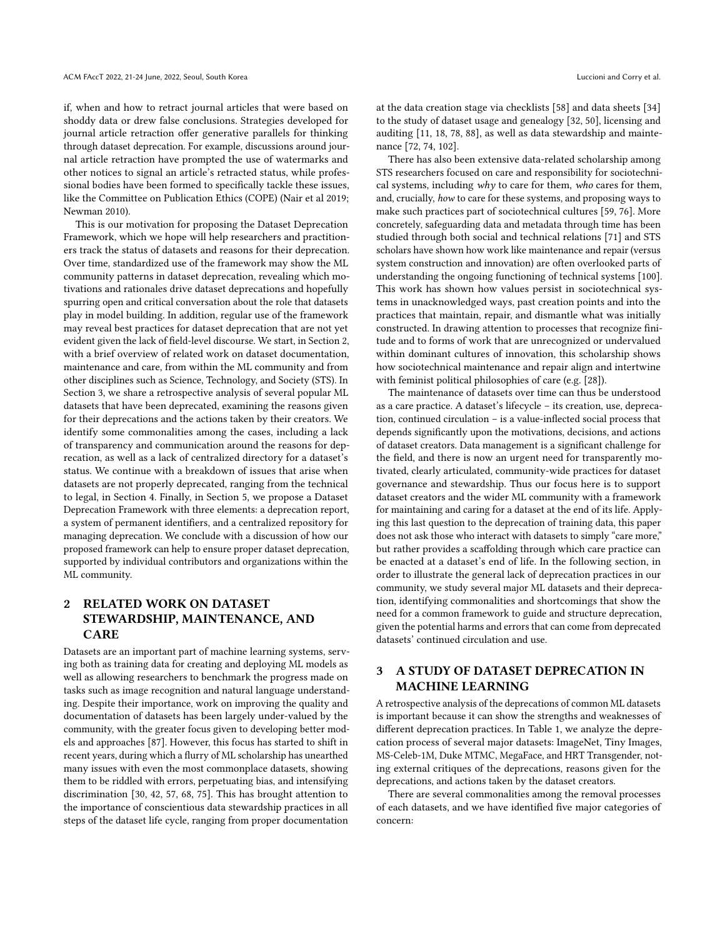if, when and how to retract journal articles that were based on shoddy data or drew false conclusions. Strategies developed for journal article retraction offer generative parallels for thinking through dataset deprecation. For example, discussions around journal article retraction have prompted the use of watermarks and other notices to signal an article's retracted status, while professional bodies have been formed to specifically tackle these issues, like the Committee on Publication Ethics (COPE) (Nair et al 2019; Newman 2010).

This is our motivation for proposing the Dataset Deprecation Framework, which we hope will help researchers and practitioners track the status of datasets and reasons for their deprecation. Over time, standardized use of the framework may show the ML community patterns in dataset deprecation, revealing which motivations and rationales drive dataset deprecations and hopefully spurring open and critical conversation about the role that datasets play in model building. In addition, regular use of the framework may reveal best practices for dataset deprecation that are not yet evident given the lack of field-level discourse. We start, in Section [2,](#page-1-0) with a brief overview of related work on dataset documentation, maintenance and care, from within the ML community and from other disciplines such as Science, Technology, and Society (STS). In Section [3,](#page-1-1) we share a retrospective analysis of several popular ML datasets that have been deprecated, examining the reasons given for their deprecations and the actions taken by their creators. We identify some commonalities among the cases, including a lack of transparency and communication around the reasons for deprecation, as well as a lack of centralized directory for a dataset's status. We continue with a breakdown of issues that arise when datasets are not properly deprecated, ranging from the technical to legal, in Section [4.](#page-3-0) Finally, in Section [5,](#page-6-0) we propose a Dataset Deprecation Framework with three elements: a deprecation report, a system of permanent identifiers, and a centralized repository for managing deprecation. We conclude with a discussion of how our proposed framework can help to ensure proper dataset deprecation, supported by individual contributors and organizations within the ML community.

# <span id="page-1-0"></span>2 RELATED WORK ON DATASET STEWARDSHIP, MAINTENANCE, AND CARE

Datasets are an important part of machine learning systems, serving both as training data for creating and deploying ML models as well as allowing researchers to benchmark the progress made on tasks such as image recognition and natural language understanding. Despite their importance, work on improving the quality and documentation of datasets has been largely under-valued by the community, with the greater focus given to developing better models and approaches [\[87\]](#page-11-2). However, this focus has started to shift in recent years, during which a flurry of ML scholarship has unearthed many issues with even the most commonplace datasets, showing them to be riddled with errors, perpetuating bias, and intensifying discrimination [\[30,](#page-10-0) [42,](#page-10-2) [57,](#page-10-3) [68,](#page-11-3) [75\]](#page-11-4). This has brought attention to the importance of conscientious data stewardship practices in all steps of the dataset life cycle, ranging from proper documentation

at the data creation stage via checklists [\[58\]](#page-10-4) and data sheets [\[34\]](#page-10-1) to the study of dataset usage and genealogy [\[32,](#page-10-5) [50\]](#page-10-6), licensing and auditing [\[11,](#page-10-7) [18,](#page-10-8) [78,](#page-11-5) [88\]](#page-11-6), as well as data stewardship and maintenance [\[72,](#page-11-7) [74,](#page-11-1) [102\]](#page-11-8).

There has also been extensive data-related scholarship among STS researchers focused on care and responsibility for sociotechnical systems, including why to care for them, who cares for them, and, crucially, how to care for these systems, and proposing ways to make such practices part of sociotechnical cultures [\[59,](#page-11-9) [76\]](#page-11-10). More concretely, safeguarding data and metadata through time has been studied through both social and technical relations [\[71\]](#page-11-11) and STS scholars have shown how work like maintenance and repair (versus system construction and innovation) are often overlooked parts of understanding the ongoing functioning of technical systems [\[100\]](#page-11-12). This work has shown how values persist in sociotechnical systems in unacknowledged ways, past creation points and into the practices that maintain, repair, and dismantle what was initially constructed. In drawing attention to processes that recognize finitude and to forms of work that are unrecognized or undervalued within dominant cultures of innovation, this scholarship shows how sociotechnical maintenance and repair align and intertwine with feminist political philosophies of care (e.g. [\[28\]](#page-10-9)).

The maintenance of datasets over time can thus be understood as a care practice. A dataset's lifecycle – its creation, use, deprecation, continued circulation – is a value-inflected social process that depends significantly upon the motivations, decisions, and actions of dataset creators. Data management is a significant challenge for the field, and there is now an urgent need for transparently motivated, clearly articulated, community-wide practices for dataset governance and stewardship. Thus our focus here is to support dataset creators and the wider ML community with a framework for maintaining and caring for a dataset at the end of its life. Applying this last question to the deprecation of training data, this paper does not ask those who interact with datasets to simply "care more," but rather provides a scaffolding through which care practice can be enacted at a dataset's end of life. In the following section, in order to illustrate the general lack of deprecation practices in our community, we study several major ML datasets and their deprecation, identifying commonalities and shortcomings that show the need for a common framework to guide and structure deprecation, given the potential harms and errors that can come from deprecated datasets' continued circulation and use.

# <span id="page-1-1"></span>3 A STUDY OF DATASET DEPRECATION IN MACHINE LEARNING

A retrospective analysis of the deprecations of common ML datasets is important because it can show the strengths and weaknesses of different deprecation practices. In Table [1,](#page-2-0) we analyze the deprecation process of several major datasets: ImageNet, Tiny Images, MS-Celeb-1M, Duke MTMC, MegaFace, and HRT Transgender, noting external critiques of the deprecations, reasons given for the deprecations, and actions taken by the dataset creators.

There are several commonalities among the removal processes of each datasets, and we have identified five major categories of concern: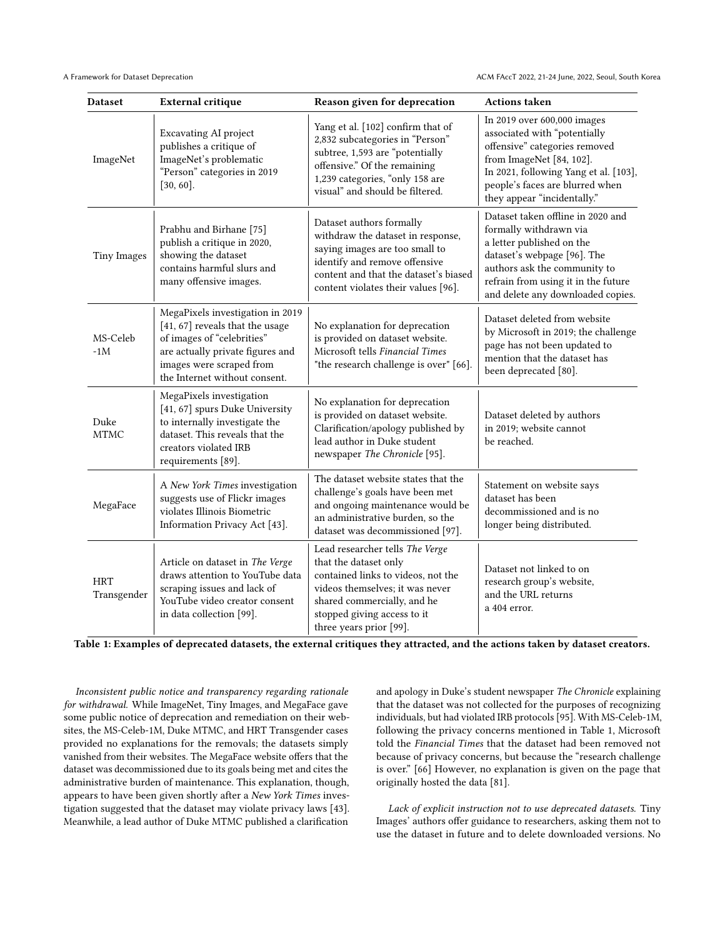<span id="page-2-0"></span>A Framework for Dataset Deprecation ACM FAccT 2022, 21-24 June, 2022, Seoul, South Korea

| <b>Dataset</b>            | <b>External critique</b>                                                                                                                                                                           | Reason given for deprecation                                                                                                                                                                                               | <b>Actions taken</b>                                                                                                                                                                                                                |
|---------------------------|----------------------------------------------------------------------------------------------------------------------------------------------------------------------------------------------------|----------------------------------------------------------------------------------------------------------------------------------------------------------------------------------------------------------------------------|-------------------------------------------------------------------------------------------------------------------------------------------------------------------------------------------------------------------------------------|
| ImageNet                  | <b>Excavating AI project</b><br>publishes a critique of<br>ImageNet's problematic<br>"Person" categories in 2019<br>[30, 60].                                                                      | Yang et al. [102] confirm that of<br>2,832 subcategories in "Person"<br>subtree, 1,593 are "potentially<br>offensive." Of the remaining<br>1,239 categories, "only 158 are<br>visual" and should be filtered.              | In 2019 over 600,000 images<br>associated with "potentially<br>offensive" categories removed<br>from ImageNet [84, 102].<br>In 2021, following Yang et al. [103],<br>people's faces are blurred when<br>they appear "incidentally." |
| <b>Tiny Images</b>        | Prabhu and Birhane [75]<br>publish a critique in 2020,<br>showing the dataset<br>contains harmful slurs and<br>many offensive images.                                                              | Dataset authors formally<br>withdraw the dataset in response,<br>saying images are too small to<br>identify and remove offensive<br>content and that the dataset's biased<br>content violates their values [96].           | Dataset taken offline in 2020 and<br>formally withdrawn via<br>a letter published on the<br>dataset's webpage [96]. The<br>authors ask the community to<br>refrain from using it in the future<br>and delete any downloaded copies. |
| MS-Celeb<br>$-1M$         | MegaPixels investigation in 2019<br>[41, 67] reveals that the usage<br>of images of "celebrities"<br>are actually private figures and<br>images were scraped from<br>the Internet without consent. | No explanation for deprecation<br>is provided on dataset website.<br>Microsoft tells Financial Times<br>"the research challenge is over" [66].                                                                             | Dataset deleted from website<br>by Microsoft in 2019; the challenge<br>page has not been updated to<br>mention that the dataset has<br>been deprecated [80].                                                                        |
| Duke<br><b>MTMC</b>       | MegaPixels investigation<br>[41, 67] spurs Duke University<br>to internally investigate the<br>dataset. This reveals that the<br>creators violated IRB<br>requirements [89].                       | No explanation for deprecation<br>is provided on dataset website.<br>Clarification/apology published by<br>lead author in Duke student<br>newspaper The Chronicle [95].                                                    | Dataset deleted by authors<br>in 2019; website cannot<br>be reached.                                                                                                                                                                |
| MegaFace                  | A New York Times investigation<br>suggests use of Flickr images<br>violates Illinois Biometric<br>Information Privacy Act [43].                                                                    | The dataset website states that the<br>challenge's goals have been met<br>and ongoing maintenance would be<br>an administrative burden, so the<br>dataset was decommissioned [97].                                         | Statement on website says<br>dataset has been<br>decommissioned and is no<br>longer being distributed.                                                                                                                              |
| <b>HRT</b><br>Transgender | Article on dataset in The Verge<br>draws attention to YouTube data<br>scraping issues and lack of<br>YouTube video creator consent<br>in data collection [99].                                     | Lead researcher tells The Verge<br>that the dataset only<br>contained links to videos, not the<br>videos themselves; it was never<br>shared commercially, and he<br>stopped giving access to it<br>three years prior [99]. | Dataset not linked to on<br>research group's website,<br>and the URL returns<br>a 404 error.                                                                                                                                        |

Table 1: Examples of deprecated datasets, the external critiques they attracted, and the actions taken by dataset creators.

Inconsistent public notice and transparency regarding rationale for withdrawal. While ImageNet, Tiny Images, and MegaFace gave some public notice of deprecation and remediation on their websites, the MS-Celeb-1M, Duke MTMC, and HRT Transgender cases provided no explanations for the removals; the datasets simply vanished from their websites. The MegaFace website offers that the dataset was decommissioned due to its goals being met and cites the administrative burden of maintenance. This explanation, though, appears to have been given shortly after a New York Times investigation suggested that the dataset may violate privacy laws [\[43\]](#page-10-11). Meanwhile, a lead author of Duke MTMC published a clarification

and apology in Duke's student newspaper The Chronicle explaining that the dataset was not collected for the purposes of recognizing individuals, but had violated IRB protocols [\[95\]](#page-11-21). With MS-Celeb-1M, following the privacy concerns mentioned in Table [1,](#page-2-0) Microsoft told the Financial Times that the dataset had been removed not because of privacy concerns, but because the "research challenge is over." [\[66\]](#page-11-18) However, no explanation is given on the page that originally hosted the data [\[81\]](#page-11-24).

Lack of explicit instruction not to use deprecated datasets. Tiny Images' authors offer guidance to researchers, asking them not to use the dataset in future and to delete downloaded versions. No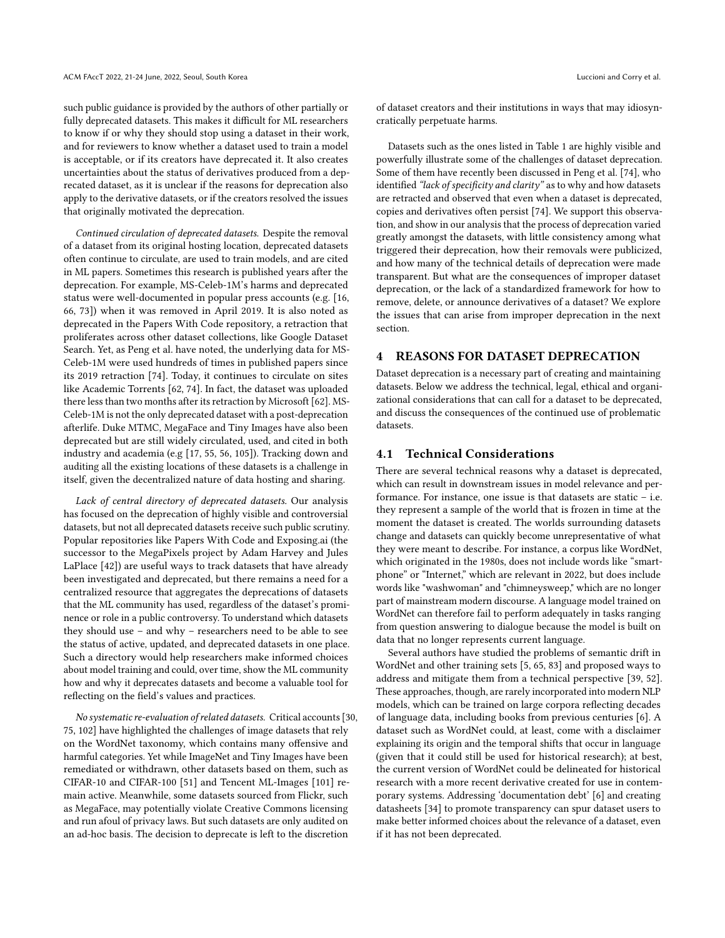such public guidance is provided by the authors of other partially or fully deprecated datasets. This makes it difficult for ML researchers to know if or why they should stop using a dataset in their work, and for reviewers to know whether a dataset used to train a model is acceptable, or if its creators have deprecated it. It also creates uncertainties about the status of derivatives produced from a deprecated dataset, as it is unclear if the reasons for deprecation also apply to the derivative datasets, or if the creators resolved the issues that originally motivated the deprecation.

Continued circulation of deprecated datasets. Despite the removal of a dataset from its original hosting location, deprecated datasets often continue to circulate, are used to train models, and are cited in ML papers. Sometimes this research is published years after the deprecation. For example, MS-Celeb-1M's harms and deprecated status were well-documented in popular press accounts (e.g. [\[16,](#page-10-12) [66,](#page-11-18) [73\]](#page-11-25)) when it was removed in April 2019. It is also noted as deprecated in the Papers With Code repository, a retraction that proliferates across other dataset collections, like [Google Dataset](https://datasetsearch.research.google.com/search?query=MS-Celeb-1M%3A%20%7BA%7D%20Dataset%20and%20Benchmark%20for%20Large-Scale%20Face%20Recognition&docid=L2cvMTFtaHJtdHh2cw%3D%3D) [Search.](https://datasetsearch.research.google.com/search?query=MS-Celeb-1M%3A%20%7BA%7D%20Dataset%20and%20Benchmark%20for%20Large-Scale%20Face%20Recognition&docid=L2cvMTFtaHJtdHh2cw%3D%3D) Yet, as Peng et al. have noted, the underlying data for MS-Celeb-1M were used hundreds of times in published papers since its 2019 retraction [\[74\]](#page-11-1). Today, it continues to circulate on sites like Academic Torrents [\[62,](#page-11-26) [74\]](#page-11-1). In fact, the dataset was uploaded there less than two months after its retraction by Microsoft [\[62\]](#page-11-26). MS-Celeb-1M is not the only deprecated dataset with a post-deprecation afterlife. [Duke MTMC,](https://github.com/sxzrt/DukeMTMC-reID_evaluation) [MegaFace](https://exposing.ai/megaface/) and [Tiny Images](https://academictorrents.com/details/03b779ffefa8efc30c2153f3330bb495bdc3e034) have also been deprecated but are still widely circulated, used, and cited in both industry and academia (e.g [\[17,](#page-10-13) [55,](#page-10-14) [56,](#page-10-15) [105\]](#page-11-27)). Tracking down and auditing all the existing locations of these datasets is a challenge in itself, given the decentralized nature of data hosting and sharing.

Lack of central directory of deprecated datasets. Our analysis has focused on the deprecation of highly visible and controversial datasets, but not all deprecated datasets receive such public scrutiny. Popular repositories like Papers With Code and Exposing.ai (the successor to the MegaPixels project by Adam Harvey and Jules LaPlace [\[42\]](#page-10-2)) are useful ways to track datasets that have already been investigated and deprecated, but there remains a need for a centralized resource that aggregates the deprecations of datasets that the ML community has used, regardless of the dataset's prominence or role in a public controversy. To understand which datasets they should use – and why – researchers need to be able to see the status of active, updated, and deprecated datasets in one place. Such a directory would help researchers make informed choices about model training and could, over time, show the ML community how and why it deprecates datasets and become a valuable tool for reflecting on the field's values and practices.

No systematic re-evaluation of related datasets. Critical accounts [\[30,](#page-10-0) [75,](#page-11-4) [102\]](#page-11-8) have highlighted the challenges of image datasets that rely on the WordNet taxonomy, which contains many offensive and harmful categories. Yet while ImageNet and Tiny Images have been remediated or withdrawn, other datasets based on them, such as CIFAR-10 and CIFAR-100 [\[51\]](#page-10-16) and Tencent ML-Images [\[101\]](#page-11-28) remain active. Meanwhile, some datasets sourced from Flickr, such as MegaFace, may potentially violate Creative Commons licensing and run afoul of privacy laws. But such datasets are only audited on an ad-hoc basis. The decision to deprecate is left to the discretion

of dataset creators and their institutions in ways that may idiosyncratically perpetuate harms.

Datasets such as the ones listed in Table [1](#page-2-0) are highly visible and powerfully illustrate some of the challenges of dataset deprecation. Some of them have recently been discussed in Peng et al. [\[74\]](#page-11-1), who identified "lack of specificity and clarity" as to why and how datasets are retracted and observed that even when a dataset is deprecated, copies and derivatives often persist [\[74\]](#page-11-1). We support this observation, and show in our analysis that the process of deprecation varied greatly amongst the datasets, with little consistency among what triggered their deprecation, how their removals were publicized, and how many of the technical details of deprecation were made transparent. But what are the consequences of improper dataset deprecation, or the lack of a standardized framework for how to remove, delete, or announce derivatives of a dataset? We explore the issues that can arise from improper deprecation in the next section.

#### <span id="page-3-0"></span>4 REASONS FOR DATASET DEPRECATION

Dataset deprecation is a necessary part of creating and maintaining datasets. Below we address the technical, legal, ethical and organizational considerations that can call for a dataset to be deprecated, and discuss the consequences of the continued use of problematic datasets.

#### 4.1 Technical Considerations

There are several technical reasons why a dataset is deprecated, which can result in downstream issues in model relevance and performance. For instance, one issue is that datasets are static – i.e. they represent a sample of the world that is frozen in time at the moment the dataset is created. The worlds surrounding datasets change and datasets can quickly become unrepresentative of what they were meant to describe. For instance, a corpus like WordNet, which originated in the 1980s, does not include words like "smartphone" or "Internet," which are relevant in 2022, but does include words like "washwoman" and "chimneysweep," which are no longer part of mainstream modern discourse. A language model trained on WordNet can therefore fail to perform adequately in tasks ranging from question answering to dialogue because the model is built on data that no longer represents current language.

Several authors have studied the problems of semantic drift in WordNet and other training sets [\[5,](#page-10-17) [65,](#page-11-29) [83\]](#page-11-30) and proposed ways to address and mitigate them from a technical perspective [\[39,](#page-10-18) [52\]](#page-10-19). These approaches, though, are rarely incorporated into modern NLP models, which can be trained on large corpora reflecting decades of language data, including books from previous centuries [\[6\]](#page-10-20). A dataset such as WordNet could, at least, come with a disclaimer explaining its origin and the temporal shifts that occur in language (given that it could still be used for historical research); at best, the current version of WordNet could be delineated for historical research with a more recent derivative created for use in contemporary systems. Addressing 'documentation debt' [\[6\]](#page-10-20) and creating datasheets [\[34\]](#page-10-1) to promote transparency can spur dataset users to make better informed choices about the relevance of a dataset, even if it has not been deprecated.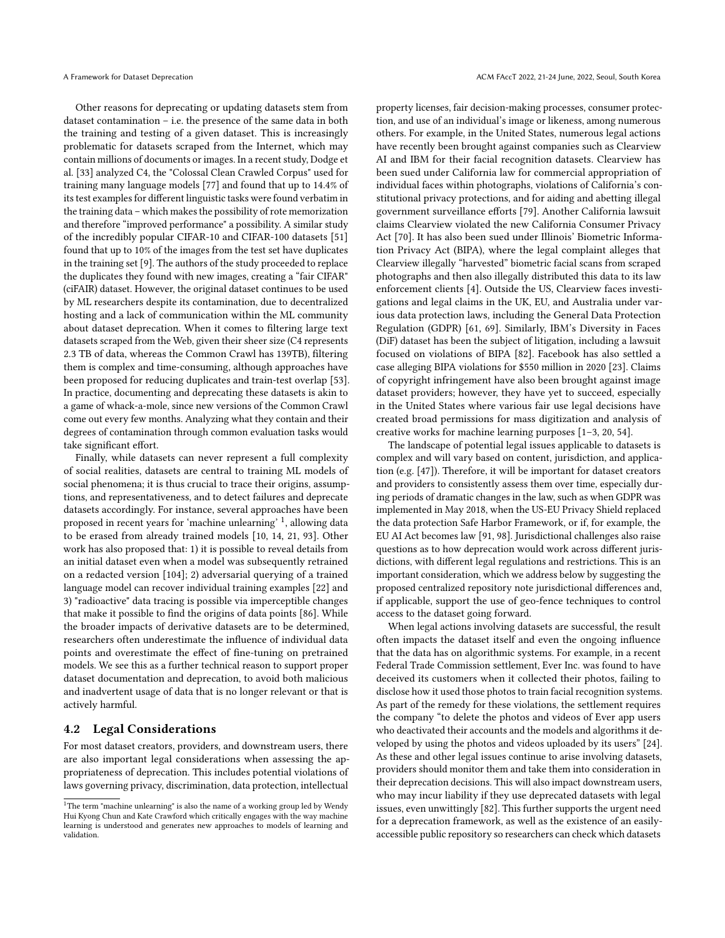Other reasons for deprecating or updating datasets stem from dataset contamination – i.e. the presence of the same data in both the training and testing of a given dataset. This is increasingly problematic for datasets scraped from the Internet, which may contain millions of documents or images. In a recent study, Dodge et al. [\[33\]](#page-10-21) analyzed C4, the "Colossal Clean Crawled Corpus" used for training many language models [\[77\]](#page-11-31) and found that up to 14.4% of its test examples for different linguistic tasks were found verbatim in the training data – which makes the possibility of rote memorization and therefore "improved performance" a possibility. A similar study of the incredibly popular CIFAR-10 and CIFAR-100 datasets [\[51\]](#page-10-16) found that up to 10% of the images from the test set have duplicates in the training set [\[9\]](#page-10-22). The authors of the study proceeded to replace the duplicates they found with new images, creating a ["fair CIFAR"](https://cvjena.github.io/cifair/) [\(ciFAIR\) dataset.](https://cvjena.github.io/cifair/) However, the original dataset continues to be used by ML researchers despite its contamination, due to decentralized hosting and a lack of communication within the ML community about dataset deprecation. When it comes to filtering large text datasets scraped from the Web, given their sheer size (C4 represents 2.3 TB of data, whereas the Common Crawl has 139TB), filtering them is complex and time-consuming, although approaches have been proposed for reducing duplicates and train-test overlap [\[53\]](#page-10-23). In practice, documenting and deprecating these datasets is akin to a game of whack-a-mole, since new versions of the Common Crawl come out every few months. Analyzing what they contain and their degrees of contamination through common evaluation tasks would take significant effort.

Finally, while datasets can never represent a full complexity of social realities, datasets are central to training ML models of social phenomena; it is thus crucial to trace their origins, assumptions, and representativeness, and to detect failures and deprecate datasets accordingly. For instance, several approaches have been proposed in recent years for 'machine unlearning' <sup>[1](#page-4-0)</sup>, allowing data to be erased from already trained models [\[10,](#page-10-24) [14,](#page-10-25) [21,](#page-10-26) [93\]](#page-11-32). Other work has also proposed that: 1) it is possible to reveal details from an initial dataset even when a model was subsequently retrained on a redacted version [\[104\]](#page-11-33); 2) adversarial querying of a trained language model can recover individual training examples [\[22\]](#page-10-27) and 3) "radioactive" data tracing is possible via imperceptible changes that make it possible to find the origins of data points [\[86\]](#page-11-34). While the broader impacts of derivative datasets are to be determined, researchers often underestimate the influence of individual data points and overestimate the effect of fine-tuning on pretrained models. We see this as a further technical reason to support proper dataset documentation and deprecation, to avoid both malicious and inadvertent usage of data that is no longer relevant or that is actively harmful.

#### 4.2 Legal Considerations

For most dataset creators, providers, and downstream users, there are also important legal considerations when assessing the appropriateness of deprecation. This includes potential violations of laws governing privacy, discrimination, data protection, intellectual

property licenses, fair decision-making processes, consumer protection, and use of an individual's image or likeness, among numerous others. For example, in the United States, numerous legal actions have recently been brought against companies such as Clearview AI and IBM for their facial recognition datasets. Clearview has been sued under California law for commercial appropriation of individual faces within photographs, violations of California's constitutional privacy protections, and for aiding and abetting illegal government surveillance efforts [\[79\]](#page-11-35). Another California lawsuit claims Clearview violated the new California Consumer Privacy Act [\[70\]](#page-11-36). It has also been sued under Illinois' Biometric Information Privacy Act (BIPA), where the legal complaint alleges that Clearview illegally "harvested" biometric facial scans from scraped photographs and then also illegally distributed this data to its law enforcement clients [\[4\]](#page-10-28). Outside the US, Clearview faces investigations and legal claims in the UK, EU, and Australia under various data protection laws, including the General Data Protection Regulation (GDPR) [\[61,](#page-11-37) [69\]](#page-11-38). Similarly, IBM's Diversity in Faces (DiF) dataset has been the subject of litigation, including a lawsuit focused on violations of BIPA [\[82\]](#page-11-39). Facebook has also settled a case alleging BIPA violations for \$550 million in 2020 [\[23\]](#page-10-29). Claims of copyright infringement have also been brought against image dataset providers; however, they have yet to succeed, especially in the United States where various fair use legal decisions have created broad permissions for mass digitization and analysis of creative works for machine learning purposes [\[1](#page-10-30)[–3,](#page-10-31) [20,](#page-10-32) [54\]](#page-10-33).

The landscape of potential legal issues applicable to datasets is complex and will vary based on content, jurisdiction, and application (e.g. [\[47\]](#page-10-34)). Therefore, it will be important for dataset creators and providers to consistently assess them over time, especially during periods of dramatic changes in the law, such as when GDPR was implemented in May 2018, when the US-EU Privacy Shield replaced the data protection Safe Harbor Framework, or if, for example, the EU AI Act becomes law [\[91,](#page-11-40) [98\]](#page-11-41). Jurisdictional challenges also raise questions as to how deprecation would work across different jurisdictions, with different legal regulations and restrictions. This is an important consideration, which we address below by suggesting the proposed centralized repository note jurisdictional differences and, if applicable, support the use of geo-fence techniques to control access to the dataset going forward.

When legal actions involving datasets are successful, the result often impacts the dataset itself and even the ongoing influence that the data has on algorithmic systems. For example, in a recent Federal Trade Commission settlement, Ever Inc. was found to have deceived its customers when it collected their photos, failing to disclose how it used those photos to train facial recognition systems. As part of the remedy for these violations, the settlement requires the company "to delete the photos and videos of Ever app users who deactivated their accounts and the models and algorithms it developed by using the photos and videos uploaded by its users" [\[24\]](#page-10-35). As these and other legal issues continue to arise involving datasets, providers should monitor them and take them into consideration in their deprecation decisions. This will also impact downstream users, who may incur liability if they use deprecated datasets with legal issues, even unwittingly [\[82\]](#page-11-39). This further supports the urgent need for a deprecation framework, as well as the existence of an easilyaccessible public repository so researchers can check which datasets

<span id="page-4-0"></span> $^{1}\mathrm{The}$  term "machine unlearning" is also the name of a working group led by Wendy Hui Kyong Chun and Kate Crawford which critically engages with the way machine learning is understood and generates new approaches to models of learning and validation.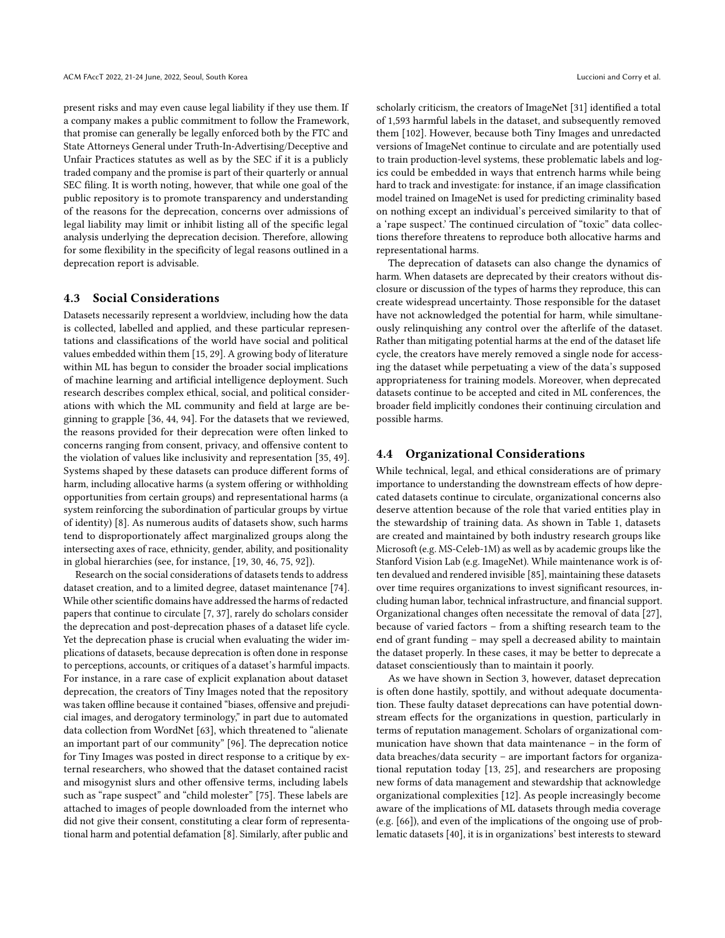present risks and may even cause legal liability if they use them. If a company makes a public commitment to follow the Framework, that promise can generally be legally enforced both by the FTC and State Attorneys General under Truth-In-Advertising/Deceptive and Unfair Practices statutes as well as by the SEC if it is a publicly traded company and the promise is part of their quarterly or annual SEC filing. It is worth noting, however, that while one goal of the public repository is to promote transparency and understanding of the reasons for the deprecation, concerns over admissions of legal liability may limit or inhibit listing all of the specific legal analysis underlying the deprecation decision. Therefore, allowing for some flexibility in the specificity of legal reasons outlined in a deprecation report is advisable.

#### 4.3 Social Considerations

Datasets necessarily represent a worldview, including how the data is collected, labelled and applied, and these particular representations and classifications of the world have social and political values embedded within them [\[15,](#page-10-36) [29\]](#page-10-37). A growing body of literature within ML has begun to consider the broader social implications of machine learning and artificial intelligence deployment. Such research describes complex ethical, social, and political considerations with which the ML community and field at large are beginning to grapple [\[36,](#page-10-38) [44,](#page-10-39) [94\]](#page-11-42). For the datasets that we reviewed, the reasons provided for their deprecation were often linked to concerns ranging from consent, privacy, and offensive content to the violation of values like inclusivity and representation [\[35,](#page-10-40) [49\]](#page-10-41). Systems shaped by these datasets can produce different forms of harm, including allocative harms (a system offering or withholding opportunities from certain groups) and representational harms (a system reinforcing the subordination of particular groups by virtue of identity) [\[8\]](#page-10-42). As numerous audits of datasets show, such harms tend to disproportionately affect marginalized groups along the intersecting axes of race, ethnicity, gender, ability, and positionality in global hierarchies (see, for instance, [\[19,](#page-10-43) [30,](#page-10-0) [46,](#page-10-44) [75,](#page-11-4) [92\]](#page-11-43)).

Research on the social considerations of datasets tends to address dataset creation, and to a limited degree, dataset maintenance [\[74\]](#page-11-1). While other scientific domains have addressed the harms of redacted papers that continue to circulate [\[7,](#page-10-45) [37\]](#page-10-46), rarely do scholars consider the deprecation and post-deprecation phases of a dataset life cycle. Yet the deprecation phase is crucial when evaluating the wider implications of datasets, because deprecation is often done in response to perceptions, accounts, or critiques of a dataset's harmful impacts. For instance, in a rare case of explicit explanation about dataset deprecation, the creators of Tiny Images noted that the repository was taken offline because it contained "biases, offensive and prejudicial images, and derogatory terminology," in part due to automated data collection from WordNet [\[63\]](#page-11-44), which threatened to "alienate an important part of our community" [\[96\]](#page-11-16). The deprecation notice for Tiny Images was posted in direct response to a critique by external researchers, who showed that the dataset contained racist and misogynist slurs and other offensive terms, including labels such as "rape suspect" and "child molester" [\[75\]](#page-11-4). These labels are attached to images of people downloaded from the internet who did not give their consent, constituting a clear form of representational harm and potential defamation [\[8\]](#page-10-42). Similarly, after public and

scholarly criticism, the creators of ImageNet [\[31\]](#page-10-47) identified a total of 1,593 harmful labels in the dataset, and subsequently removed them [\[102\]](#page-11-8). However, because both Tiny Images and unredacted versions of ImageNet continue to circulate and are potentially used to train production-level systems, these problematic labels and logics could be embedded in ways that entrench harms while being hard to track and investigate: for instance, if an image classification model trained on ImageNet is used for predicting criminality based on nothing except an individual's perceived similarity to that of a 'rape suspect.' The continued circulation of "toxic" data collections therefore threatens to reproduce both allocative harms and representational harms.

The deprecation of datasets can also change the dynamics of harm. When datasets are deprecated by their creators without disclosure or discussion of the types of harms they reproduce, this can create widespread uncertainty. Those responsible for the dataset have not acknowledged the potential for harm, while simultaneously relinquishing any control over the afterlife of the dataset. Rather than mitigating potential harms at the end of the dataset life cycle, the creators have merely removed a single node for accessing the dataset while perpetuating a view of the data's supposed appropriateness for training models. Moreover, when deprecated datasets continue to be accepted and cited in ML conferences, the broader field implicitly condones their continuing circulation and possible harms.

#### 4.4 Organizational Considerations

While technical, legal, and ethical considerations are of primary importance to understanding the downstream effects of how deprecated datasets continue to circulate, organizational concerns also deserve attention because of the role that varied entities play in the stewardship of training data. As shown in Table [1,](#page-2-0) datasets are created and maintained by both industry research groups like Microsoft (e.g. MS-Celeb-1M) as well as by academic groups like the Stanford Vision Lab (e.g. ImageNet). While maintenance work is often devalued and rendered invisible [\[85\]](#page-11-45), maintaining these datasets over time requires organizations to invest significant resources, including human labor, technical infrastructure, and financial support. Organizational changes often necessitate the removal of data [\[27\]](#page-10-48), because of varied factors – from a shifting research team to the end of grant funding – may spell a decreased ability to maintain the dataset properly. In these cases, it may be better to deprecate a dataset conscientiously than to maintain it poorly.

As we have shown in Section [3,](#page-1-1) however, dataset deprecation is often done hastily, spottily, and without adequate documentation. These faulty dataset deprecations can have potential downstream effects for the organizations in question, particularly in terms of reputation management. Scholars of organizational communication have shown that data maintenance – in the form of data breaches/data security – are important factors for organizational reputation today [\[13,](#page-10-49) [25\]](#page-10-50), and researchers are proposing new forms of data management and stewardship that acknowledge organizational complexities [\[12\]](#page-10-51). As people increasingly become aware of the implications of ML datasets through media coverage (e.g. [\[66\]](#page-11-18)), and even of the implications of the ongoing use of problematic datasets [\[40\]](#page-10-52), it is in organizations' best interests to steward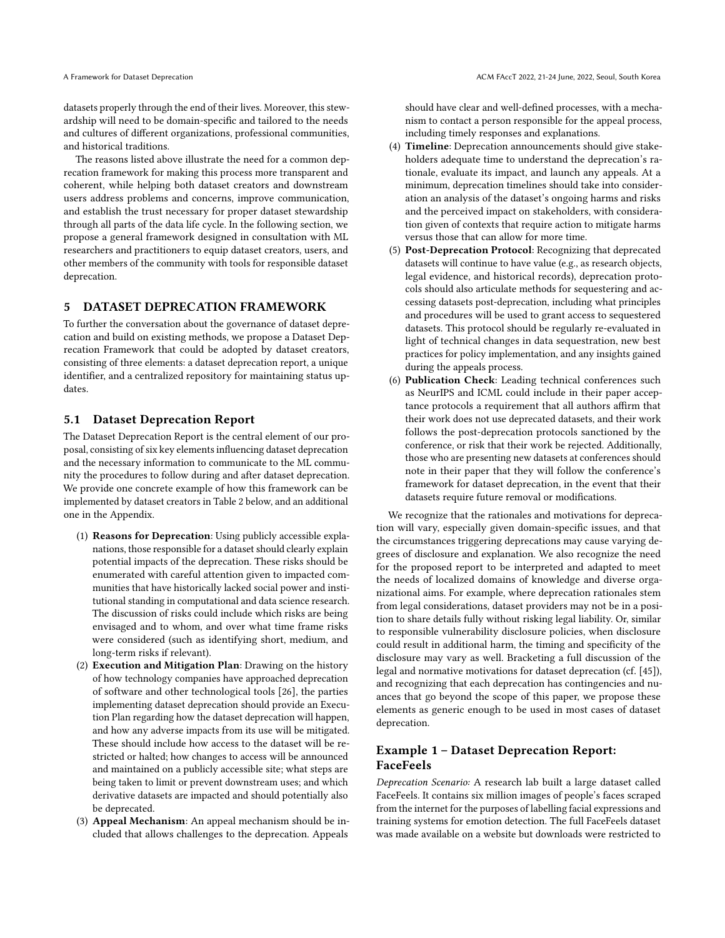datasets properly through the end of their lives. Moreover, this stewardship will need to be domain-specific and tailored to the needs and cultures of different organizations, professional communities, and historical traditions.

The reasons listed above illustrate the need for a common deprecation framework for making this process more transparent and coherent, while helping both dataset creators and downstream users address problems and concerns, improve communication, and establish the trust necessary for proper dataset stewardship through all parts of the data life cycle. In the following section, we propose a general framework designed in consultation with ML researchers and practitioners to equip dataset creators, users, and other members of the community with tools for responsible dataset deprecation.

## <span id="page-6-0"></span>5 DATASET DEPRECATION FRAMEWORK

To further the conversation about the governance of dataset deprecation and build on existing methods, we propose a Dataset Deprecation Framework that could be adopted by dataset creators, consisting of three elements: a dataset deprecation report, a unique identifier, and a centralized repository for maintaining status updates.

#### 5.1 Dataset Deprecation Report

The Dataset Deprecation Report is the central element of our proposal, consisting of six key elements influencing dataset deprecation and the necessary information to communicate to the ML community the procedures to follow during and after dataset deprecation. We provide one concrete example of how this framework can be implemented by dataset creators in Table [2](#page-7-0) below, and an additional one in the Appendix.

- (1) Reasons for Deprecation: Using publicly accessible explanations, those responsible for a dataset should clearly explain potential impacts of the deprecation. These risks should be enumerated with careful attention given to impacted communities that have historically lacked social power and institutional standing in computational and data science research. The discussion of risks could include which risks are being envisaged and to whom, and over what time frame risks were considered (such as identifying short, medium, and long-term risks if relevant).
- (2) Execution and Mitigation Plan: Drawing on the history of how technology companies have approached deprecation of software and other technological tools [\[26\]](#page-10-53), the parties implementing dataset deprecation should provide an Execution Plan regarding how the dataset deprecation will happen, and how any adverse impacts from its use will be mitigated. These should include how access to the dataset will be restricted or halted; how changes to access will be announced and maintained on a publicly accessible site; what steps are being taken to limit or prevent downstream uses; and which derivative datasets are impacted and should potentially also be deprecated.
- (3) Appeal Mechanism: An appeal mechanism should be included that allows challenges to the deprecation. Appeals

should have clear and well-defined processes, with a mechanism to contact a person responsible for the appeal process, including timely responses and explanations.

- (4) Timeline: Deprecation announcements should give stakeholders adequate time to understand the deprecation's rationale, evaluate its impact, and launch any appeals. At a minimum, deprecation timelines should take into consideration an analysis of the dataset's ongoing harms and risks and the perceived impact on stakeholders, with consideration given of contexts that require action to mitigate harms versus those that can allow for more time.
- (5) Post-Deprecation Protocol: Recognizing that deprecated datasets will continue to have value (e.g., as research objects, legal evidence, and historical records), deprecation protocols should also articulate methods for sequestering and accessing datasets post-deprecation, including what principles and procedures will be used to grant access to sequestered datasets. This protocol should be regularly re-evaluated in light of technical changes in data sequestration, new best practices for policy implementation, and any insights gained during the appeals process.
- (6) Publication Check: Leading technical conferences such as NeurIPS and ICML could include in their paper acceptance protocols a requirement that all authors affirm that their work does not use deprecated datasets, and their work follows the post-deprecation protocols sanctioned by the conference, or risk that their work be rejected. Additionally, those who are presenting new datasets at conferences should note in their paper that they will follow the conference's framework for dataset deprecation, in the event that their datasets require future removal or modifications.

We recognize that the rationales and motivations for deprecation will vary, especially given domain-specific issues, and that the circumstances triggering deprecations may cause varying degrees of disclosure and explanation. We also recognize the need for the proposed report to be interpreted and adapted to meet the needs of localized domains of knowledge and diverse organizational aims. For example, where deprecation rationales stem from legal considerations, dataset providers may not be in a position to share details fully without risking legal liability. Or, similar to responsible vulnerability disclosure policies, when disclosure could result in additional harm, the timing and specificity of the disclosure may vary as well. Bracketing a full discussion of the legal and normative motivations for dataset deprecation (cf. [\[45\]](#page-10-54)), and recognizing that each deprecation has contingencies and nuances that go beyond the scope of this paper, we propose these elements as generic enough to be used in most cases of dataset deprecation.

# Example 1 – Dataset Deprecation Report: FaceFeels

Deprecation Scenario: A research lab built a large dataset called FaceFeels. It contains six million images of people's faces scraped from the internet for the purposes of labelling facial expressions and training systems for emotion detection. The full FaceFeels dataset was made available on a website but downloads were restricted to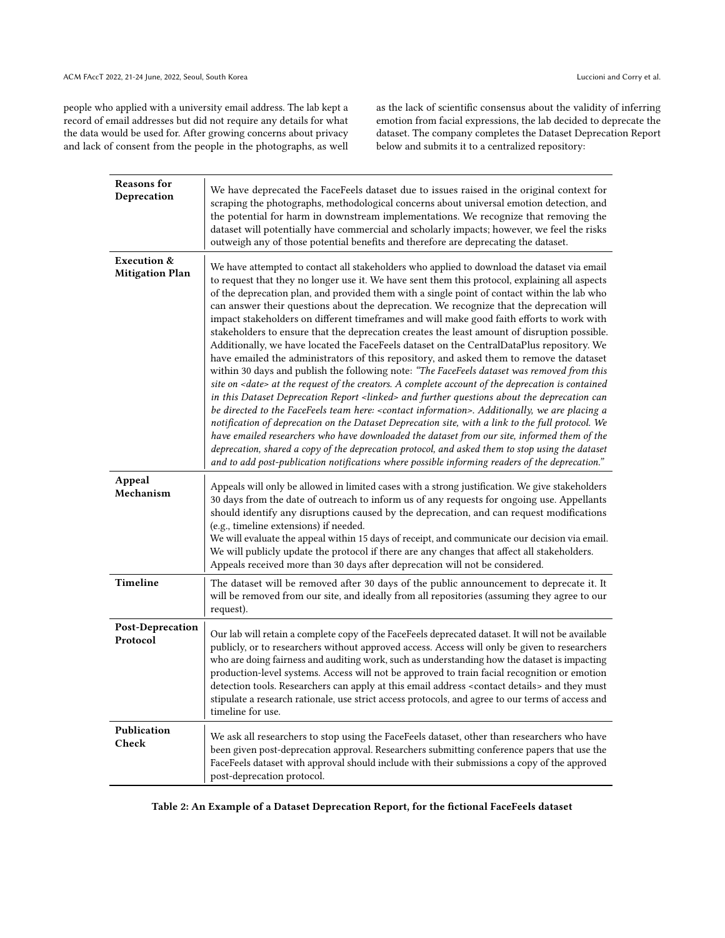people who applied with a university email address. The lab kept a record of email addresses but did not require any details for what the data would be used for. After growing concerns about privacy and lack of consent from the people in the photographs, as well as the lack of scientific consensus about the validity of inferring emotion from facial expressions, the lab decided to deprecate the dataset. The company completes the Dataset Deprecation Report below and submits it to a centralized repository:

<span id="page-7-0"></span>

| <b>Reasons</b> for<br>Deprecation                | We have deprecated the FaceFeels dataset due to issues raised in the original context for<br>scraping the photographs, methodological concerns about universal emotion detection, and<br>the potential for harm in downstream implementations. We recognize that removing the<br>dataset will potentially have commercial and scholarly impacts; however, we feel the risks<br>outweigh any of those potential benefits and therefore are deprecating the dataset.                                                                                                                                                                                                                                                                                                                                                                                                                                                                                                                                                                                                                                                                                                                                                                                                                                                                                                                                                                                                                                                                                                                                                                 |
|--------------------------------------------------|------------------------------------------------------------------------------------------------------------------------------------------------------------------------------------------------------------------------------------------------------------------------------------------------------------------------------------------------------------------------------------------------------------------------------------------------------------------------------------------------------------------------------------------------------------------------------------------------------------------------------------------------------------------------------------------------------------------------------------------------------------------------------------------------------------------------------------------------------------------------------------------------------------------------------------------------------------------------------------------------------------------------------------------------------------------------------------------------------------------------------------------------------------------------------------------------------------------------------------------------------------------------------------------------------------------------------------------------------------------------------------------------------------------------------------------------------------------------------------------------------------------------------------------------------------------------------------------------------------------------------------|
| <b>Execution &amp;</b><br><b>Mitigation Plan</b> | We have attempted to contact all stakeholders who applied to download the dataset via email<br>to request that they no longer use it. We have sent them this protocol, explaining all aspects<br>of the deprecation plan, and provided them with a single point of contact within the lab who<br>can answer their questions about the deprecation. We recognize that the deprecation will<br>impact stakeholders on different timeframes and will make good faith efforts to work with<br>stakeholders to ensure that the deprecation creates the least amount of disruption possible.<br>Additionally, we have located the FaceFeels dataset on the CentralDataPlus repository. We<br>have emailed the administrators of this repository, and asked them to remove the dataset<br>within 30 days and publish the following note: "The FaceFeels dataset was removed from this<br>site on <date> at the request of the creators. A complete account of the deprecation is contained<br/>in this Dataset Deprecation Report <linked> and further questions about the deprecation can<br/>be directed to the FaceFeels team here: <contact information="">. Additionally, we are placing a<br/>notification of deprecation on the Dataset Deprecation site, with a link to the full protocol. We<br/>have emailed researchers who have downloaded the dataset from our site, informed them of the<br/>deprecation, shared a copy of the deprecation protocol, and asked them to stop using the dataset<br/>and to add post-publication notifications where possible informing readers of the deprecation."</contact></linked></date> |
| Appeal<br>Mechanism                              | Appeals will only be allowed in limited cases with a strong justification. We give stakeholders<br>30 days from the date of outreach to inform us of any requests for ongoing use. Appellants<br>should identify any disruptions caused by the deprecation, and can request modifications<br>(e.g., timeline extensions) if needed.<br>We will evaluate the appeal within 15 days of receipt, and communicate our decision via email.<br>We will publicly update the protocol if there are any changes that affect all stakeholders.<br>Appeals received more than 30 days after deprecation will not be considered.                                                                                                                                                                                                                                                                                                                                                                                                                                                                                                                                                                                                                                                                                                                                                                                                                                                                                                                                                                                                               |
| <b>Timeline</b>                                  | The dataset will be removed after 30 days of the public announcement to deprecate it. It<br>will be removed from our site, and ideally from all repositories (assuming they agree to our<br>request).                                                                                                                                                                                                                                                                                                                                                                                                                                                                                                                                                                                                                                                                                                                                                                                                                                                                                                                                                                                                                                                                                                                                                                                                                                                                                                                                                                                                                              |
| <b>Post-Deprecation</b><br>Protocol              | Our lab will retain a complete copy of the FaceFeels deprecated dataset. It will not be available<br>publicly, or to researchers without approved access. Access will only be given to researchers<br>who are doing fairness and auditing work, such as understanding how the dataset is impacting<br>production-level systems. Access will not be approved to train facial recognition or emotion<br>detection tools. Researchers can apply at this email address <contact details=""> and they must<br/>stipulate a research rationale, use strict access protocols, and agree to our terms of access and<br/>timeline for use.</contact>                                                                                                                                                                                                                                                                                                                                                                                                                                                                                                                                                                                                                                                                                                                                                                                                                                                                                                                                                                                        |
| Publication<br>Check                             | We ask all researchers to stop using the FaceFeels dataset, other than researchers who have<br>been given post-deprecation approval. Researchers submitting conference papers that use the<br>FaceFeels dataset with approval should include with their submissions a copy of the approved<br>post-deprecation protocol.                                                                                                                                                                                                                                                                                                                                                                                                                                                                                                                                                                                                                                                                                                                                                                                                                                                                                                                                                                                                                                                                                                                                                                                                                                                                                                           |

Table 2: An Example of a Dataset Deprecation Report, for the fictional FaceFeels dataset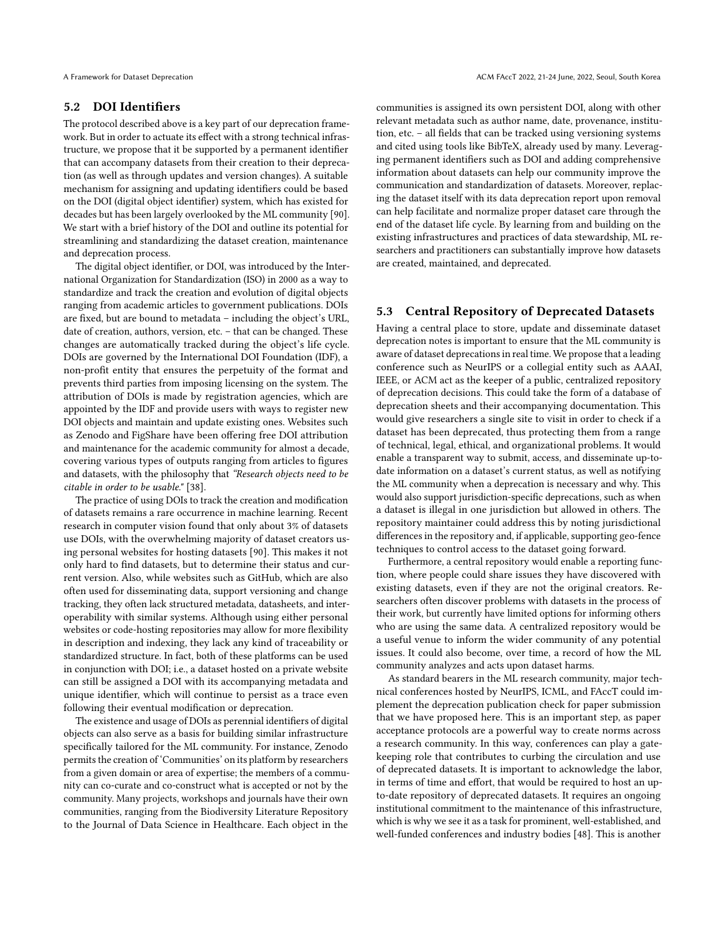#### 5.2 DOI Identifiers

The protocol described above is a key part of our deprecation framework. But in order to actuate its effect with a strong technical infrastructure, we propose that it be supported by a permanent identifier that can accompany datasets from their creation to their deprecation (as well as through updates and version changes). A suitable mechanism for assigning and updating identifiers could be based on the DOI (digital object identifier) system, which has existed for decades but has been largely overlooked by the ML community [\[90\]](#page-11-46). We start with a brief history of the DOI and outline its potential for streamlining and standardizing the dataset creation, maintenance and deprecation process.

The digital object identifier, or DOI, was introduced by the International Organization for Standardization (ISO) in 2000 as a way to standardize and track the creation and evolution of digital objects ranging from academic articles to government publications. DOIs are fixed, but are bound to metadata – including the object's URL, date of creation, authors, version, etc. – that can be changed. These changes are automatically tracked during the object's life cycle. DOIs are governed by the International DOI Foundation (IDF), a non-profit entity that ensures the perpetuity of the format and prevents third parties from imposing licensing on the system. The attribution of DOIs is made by registration agencies, which are appointed by the IDF and provide users with ways to register new DOI objects and maintain and update existing ones. Websites such as [Zenodo](https://zenodo.org/) and [FigShare](https://figshare.com/) have been offering free DOI attribution and maintenance for the academic community for almost a decade, covering various types of outputs ranging from articles to figures and datasets, with the philosophy that "Research objects need to be citable in order to be usable." [\[38\]](#page-10-55).

The practice of using DOIs to track the creation and modification of datasets remains a rare occurrence in machine learning. Recent research in computer vision found that only about 3% of datasets use DOIs, with the overwhelming majority of dataset creators using personal websites for hosting datasets [\[90\]](#page-11-46). This makes it not only hard to find datasets, but to determine their status and current version. Also, while websites such as GitHub, which are also often used for disseminating data, support versioning and change tracking, they often lack structured metadata, datasheets, and interoperability with similar systems. Although using either personal websites or code-hosting repositories may allow for more flexibility in description and indexing, they lack any kind of traceability or standardized structure. In fact, both of these platforms can be used in conjunction with DOI; i.e., a dataset hosted on a private website can still be assigned a DOI with its accompanying metadata and unique identifier, which will continue to persist as a trace even following their eventual modification or deprecation.

The existence and usage of DOIs as perennial identifiers of digital objects can also serve as a basis for building similar infrastructure specifically tailored for the ML community. For instance, Zenodo permits the creation of 'Communities' on its platform by researchers from a given domain or area of expertise; the members of a community can co-curate and co-construct what is accepted or not by the community. Many projects, workshops and journals have their own communities, ranging from the [Biodiversity Literature Repository](https://zenodo.org/communities/biosyslit) to the [Journal of Data Science in Healthcare.](https://zenodo.org/communities/data-science-in-healthcare/) Each object in the

communities is assigned its own persistent DOI, along with other relevant metadata such as author name, date, provenance, institution, etc. – all fields that can be tracked using versioning systems and cited using tools like BibTeX, already used by many. Leveraging permanent identifiers such as DOI and adding comprehensive information about datasets can help our community improve the communication and standardization of datasets. Moreover, replacing the dataset itself with its data deprecation report upon removal can help facilitate and normalize proper dataset care through the end of the dataset life cycle. By learning from and building on the existing infrastructures and practices of data stewardship, ML researchers and practitioners can substantially improve how datasets are created, maintained, and deprecated.

## 5.3 Central Repository of Deprecated Datasets

Having a central place to store, update and disseminate dataset deprecation notes is important to ensure that the ML community is aware of dataset deprecations in real time. We propose that a leading conference such as NeurIPS or a collegial entity such as AAAI, IEEE, or ACM act as the keeper of a public, centralized repository of deprecation decisions. This could take the form of a database of deprecation sheets and their accompanying documentation. This would give researchers a single site to visit in order to check if a dataset has been deprecated, thus protecting them from a range of technical, legal, ethical, and organizational problems. It would enable a transparent way to submit, access, and disseminate up-todate information on a dataset's current status, as well as notifying the ML community when a deprecation is necessary and why. This would also support jurisdiction-specific deprecations, such as when a dataset is illegal in one jurisdiction but allowed in others. The repository maintainer could address this by noting jurisdictional differences in the repository and, if applicable, supporting geo-fence techniques to control access to the dataset going forward.

Furthermore, a central repository would enable a reporting function, where people could share issues they have discovered with existing datasets, even if they are not the original creators. Researchers often discover problems with datasets in the process of their work, but currently have limited options for informing others who are using the same data. A centralized repository would be a useful venue to inform the wider community of any potential issues. It could also become, over time, a record of how the ML community analyzes and acts upon dataset harms.

As standard bearers in the ML research community, major technical conferences hosted by NeurIPS, ICML, and FAccT could implement the deprecation publication check for paper submission that we have proposed here. This is an important step, as paper acceptance protocols are a powerful way to create norms across a research community. In this way, conferences can play a gatekeeping role that contributes to curbing the circulation and use of deprecated datasets. It is important to acknowledge the labor, in terms of time and effort, that would be required to host an upto-date repository of deprecated datasets. It requires an ongoing institutional commitment to the maintenance of this infrastructure, which is why we see it as a task for prominent, well-established, and well-funded conferences and industry bodies [\[48\]](#page-10-56). This is another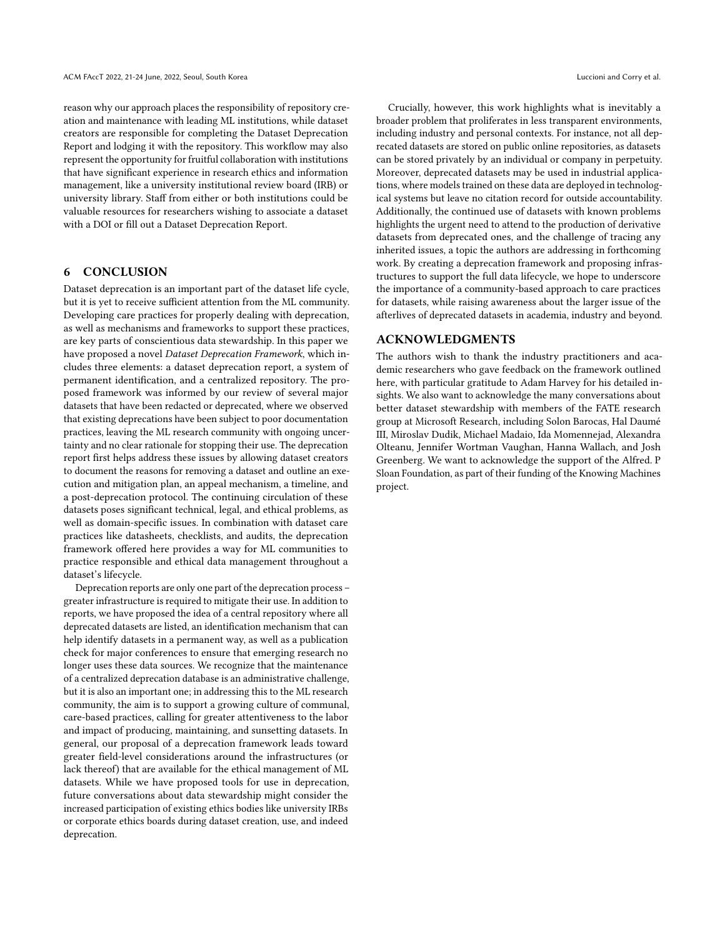reason why our approach places the responsibility of repository creation and maintenance with leading ML institutions, while dataset creators are responsible for completing the Dataset Deprecation Report and lodging it with the repository. This workflow may also represent the opportunity for fruitful collaboration with institutions that have significant experience in research ethics and information management, like a university institutional review board (IRB) or university library. Staff from either or both institutions could be valuable resources for researchers wishing to associate a dataset with a DOI or fill out a Dataset Deprecation Report.

## 6 CONCLUSION

Dataset deprecation is an important part of the dataset life cycle, but it is yet to receive sufficient attention from the ML community. Developing care practices for properly dealing with deprecation, as well as mechanisms and frameworks to support these practices, are key parts of conscientious data stewardship. In this paper we have proposed a novel Dataset Deprecation Framework, which includes three elements: a dataset deprecation report, a system of permanent identification, and a centralized repository. The proposed framework was informed by our review of several major datasets that have been redacted or deprecated, where we observed that existing deprecations have been subject to poor documentation practices, leaving the ML research community with ongoing uncertainty and no clear rationale for stopping their use. The deprecation report first helps address these issues by allowing dataset creators to document the reasons for removing a dataset and outline an execution and mitigation plan, an appeal mechanism, a timeline, and a post-deprecation protocol. The continuing circulation of these datasets poses significant technical, legal, and ethical problems, as well as domain-specific issues. In combination with dataset care practices like datasheets, checklists, and audits, the deprecation framework offered here provides a way for ML communities to practice responsible and ethical data management throughout a dataset's lifecycle.

Deprecation reports are only one part of the deprecation process – greater infrastructure is required to mitigate their use. In addition to reports, we have proposed the idea of a central repository where all deprecated datasets are listed, an identification mechanism that can help identify datasets in a permanent way, as well as a publication check for major conferences to ensure that emerging research no longer uses these data sources. We recognize that the maintenance of a centralized deprecation database is an administrative challenge, but it is also an important one; in addressing this to the ML research community, the aim is to support a growing culture of communal, care-based practices, calling for greater attentiveness to the labor and impact of producing, maintaining, and sunsetting datasets. In general, our proposal of a deprecation framework leads toward greater field-level considerations around the infrastructures (or lack thereof) that are available for the ethical management of ML datasets. While we have proposed tools for use in deprecation, future conversations about data stewardship might consider the increased participation of existing ethics bodies like university IRBs or corporate ethics boards during dataset creation, use, and indeed deprecation.

Crucially, however, this work highlights what is inevitably a broader problem that proliferates in less transparent environments, including industry and personal contexts. For instance, not all deprecated datasets are stored on public online repositories, as datasets can be stored privately by an individual or company in perpetuity. Moreover, deprecated datasets may be used in industrial applications, where models trained on these data are deployed in technological systems but leave no citation record for outside accountability. Additionally, the continued use of datasets with known problems highlights the urgent need to attend to the production of derivative datasets from deprecated ones, and the challenge of tracing any inherited issues, a topic the authors are addressing in forthcoming work. By creating a deprecation framework and proposing infrastructures to support the full data lifecycle, we hope to underscore the importance of a community-based approach to care practices for datasets, while raising awareness about the larger issue of the afterlives of deprecated datasets in academia, industry and beyond.

## ACKNOWLEDGMENTS

The authors wish to thank the industry practitioners and academic researchers who gave feedback on the framework outlined here, with particular gratitude to Adam Harvey for his detailed insights. We also want to acknowledge the many conversations about better dataset stewardship with members of the FATE research group at Microsoft Research, including Solon Barocas, Hal Daumé III, Miroslav Dudik, Michael Madaio, Ida Momennejad, Alexandra Olteanu, Jennifer Wortman Vaughan, Hanna Wallach, and Josh Greenberg. We want to acknowledge the support of the Alfred. P Sloan Foundation, as part of their funding of the Knowing Machines project.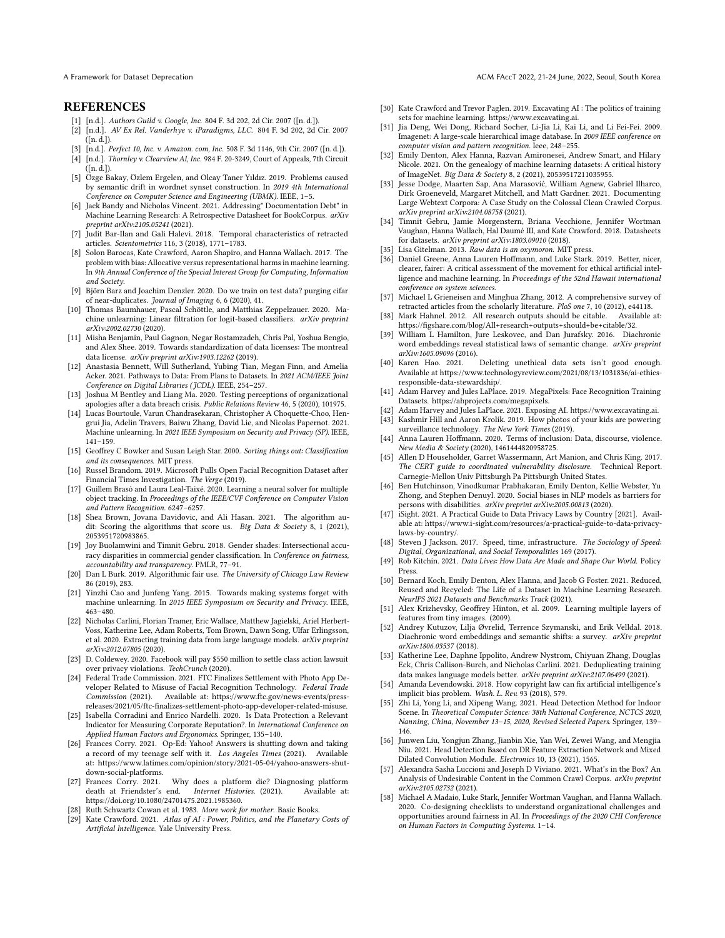#### **REFERENCES**

- <span id="page-10-30"></span>[1] [n.d.]. Authors Guild v. Google, Inc. 804 F. 3d 202, 2d Cir. 2007 ([n. d.]).
- [2] [n.d.]. AV Ex Rel. Vanderhye v. iParadigms, LLC. 804 F. 3d 202, 2d Cir. 2007 ([n. d.]).
- <span id="page-10-31"></span><span id="page-10-28"></span>[n.d.]. Perfect 10, Inc. v. Amazon. com, Inc. 508 F. 3d 1146, 9th Cir. 2007 ([n. d.]). [4] [n.d.]. Thornley v. Clearview AI, Inc. 984 F. 20-3249, Court of Appeals, 7th Circuit
- ([n. d.]).
- <span id="page-10-17"></span>[5] Özge Bakay, Özlem Ergelen, and Olcay Taner Yıldız. 2019. Problems caused by semantic drift in wordnet synset construction. In 2019 4th International Conference on Computer Science and Engineering (UBMK). IEEE, 1–5.
- <span id="page-10-20"></span>[6] Jack Bandy and Nicholas Vincent. 2021. Addressing" Documentation Debt" in Machine Learning Research: A Retrospective Datasheet for BookCorpus. arXiv preprint arXiv:2105.05241 (2021).
- <span id="page-10-45"></span>[7] Judit Bar-Ilan and Gali Halevi. 2018. Temporal characteristics of retracted articles. Scientometrics 116, 3 (2018), 1771–1783.
- <span id="page-10-42"></span>[8] Solon Barocas, Kate Crawford, Aaron Shapiro, and Hanna Wallach. 2017. The problem with bias: Allocative versus representational harms in machine learning. In 9th Annual Conference of the Special Interest Group for Computing, Information and Society.
- <span id="page-10-22"></span>[9] Björn Barz and Joachim Denzler. 2020. Do we train on test data? purging cifar of near-duplicates. Journal of Imaging 6, 6 (2020), 41.
- <span id="page-10-24"></span>[10] Thomas Baumhauer, Pascal Schöttle, and Matthias Zeppelzauer. 2020. Machine unlearning: Linear filtration for logit-based classifiers. arXiv preprint arXiv:2002.02730 (2020).
- <span id="page-10-7"></span>[11] Misha Benjamin, Paul Gagnon, Negar Rostamzadeh, Chris Pal, Yoshua Bengio, and Alex Shee. 2019. Towards standardization of data licenses: The montreal data license. arXiv preprint arXiv:1903.12262 (2019).
- <span id="page-10-51"></span>[12] Anastasia Bennett, Will Sutherland, Yubing Tian, Megan Finn, and Amelia Acker. 2021. Pathways to Data: From Plans to Datasets. In 2021 ACM/IEEE Joint Conference on Digital Libraries (JCDL). IEEE, 254–257.
- <span id="page-10-49"></span>[13] Joshua M Bentley and Liang Ma. 2020. Testing perceptions of organizational apologies after a data breach crisis. Public Relations Review 46, 5 (2020), 101975.
- <span id="page-10-25"></span>[14] Lucas Bourtoule, Varun Chandrasekaran, Christopher A Choquette-Choo, Hengrui Jia, Adelin Travers, Baiwu Zhang, David Lie, and Nicolas Papernot. 2021. Machine unlearning. In 2021 IEEE Symposium on Security and Privacy (SP). IEEE, 141–159.
- <span id="page-10-36"></span>[15] Geoffrey C Bowker and Susan Leigh Star. 2000. Sorting things out: Classification and its consequences. MIT press.
- <span id="page-10-12"></span>[16] Russel Brandom. 2019. Microsoft Pulls Open Facial Recognition Dataset after Financial Times Investigation. The Verge (2019).
- <span id="page-10-13"></span>[17] Guillem Brasó and Laura Leal-Taixé. 2020. Learning a neural solver for multiple object tracking. In Proceedings of the IEEE/CVF Conference on Computer Vision and Pattern Recognition. 6247–6257.
- <span id="page-10-8"></span>[18] Shea Brown, Jovana Davidovic, and Ali Hasan. 2021. The algorithm audit: Scoring the algorithms that score us. Big Data & Society 8, 1 (2021), 2053951720983865.
- <span id="page-10-43"></span>[19] Joy Buolamwini and Timnit Gebru. 2018. Gender shades: Intersectional accuracy disparities in commercial gender classification. In Conference on fairness, accountability and transparency. PMLR, 77–91.
- <span id="page-10-32"></span>[20] Dan L Burk. 2019. Algorithmic fair use. The University of Chicago Law Review 86 (2019), 283.
- <span id="page-10-26"></span>[21] Yinzhi Cao and Junfeng Yang. 2015. Towards making systems forget with machine unlearning. In 2015 IEEE Symposium on Security and Privacy. IEEE, 463–480.
- <span id="page-10-27"></span>[22] Nicholas Carlini, Florian Tramer, Eric Wallace, Matthew Jagielski, Ariel Herbert-Voss, Katherine Lee, Adam Roberts, Tom Brown, Dawn Song, Ulfar Erlingsson, et al. 2020. Extracting training data from large language models. arXiv preprint arXiv:2012.07805 (2020).
- <span id="page-10-29"></span>[23] D. Coldewey. 2020. Facebook will pay \$550 million to settle class action lawsuit over privacy violations. TechCrunch (2020).
- <span id="page-10-35"></span>[24] Federal Trade Commission. 2021. FTC Finalizes Settlement with Photo App Developer Related to Misuse of Facial Recognition Technology. Federal Trade Commission (2021). Available at: https://www.ftc.gov/news-events/pressreleases/2021/05/ftc-finalizes-settlement-photo-app-developer-related-misuse.
- <span id="page-10-50"></span>[25] Isabella Corradini and Enrico Nardelli. 2020. Is Data Protection a Relevant Indicator for Measuring Corporate Reputation?. In International Conference on Applied Human Factors and Ergonomics. Springer, 135–140.
- <span id="page-10-53"></span>[26] Frances Corry. 2021. Op-Ed: Yahoo! Answers is shutting down and taking a record of my teenage self with it. Los Angeles Times (2021). Available at: https://www.latimes.com/opinion/story/2021-05-04/yahoo-answers-shutdown-social-platforms.
- <span id="page-10-48"></span>[27] Frances Corry. 2021. Why does a platform die? Diagnosing platform death at Friendster's end. Internet Histories. (2021). Available at: death at Friendster's end. https://doi.org/10.1080/24701475.2021.1985360.
- <span id="page-10-9"></span>[28] Ruth Schwartz Cowan et al. 1983. More work for mother. Basic Books.<br>[29] Kate Crawford. 2021. Atlas of AI: Power, Politics, and the Planetarv
- <span id="page-10-37"></span>Kate Crawford. 2021. Atlas of AI : Power, Politics, and the Planetary Costs of Artificial Intelligence. Yale University Press.
- <span id="page-10-0"></span>[30] Kate Crawford and Trevor Paglen. 2019. Excavating AI : The politics of training sets for machine learning. https://www.excavating.ai.
- <span id="page-10-47"></span>[31] Jia Deng, Wei Dong, Richard Socher, Li-Jia Li, Kai Li, and Li Fei-Fei. 2009. Imagenet: A large-scale hierarchical image database. In 2009 IEEE conference on computer vision and pattern recognition. Ieee, 248–255.
- <span id="page-10-5"></span>[32] Emily Denton, Alex Hanna, Razvan Amironesei, Andrew Smart, and Hilary Nicole. 2021. On the genealogy of machine learning datasets: A critical history of ImageNet. Big Data & Society 8, 2 (2021), 20539517211035955.
- <span id="page-10-21"></span>[33] Jesse Dodge, Maarten Sap, Ana Marasović, William Agnew, Gabriel Ilharco, Dirk Groeneveld, Margaret Mitchell, and Matt Gardner. 2021. Documenting Large Webtext Corpora: A Case Study on the Colossal Clean Crawled Corpus. arXiv preprint arXiv:2104.08758 (2021).
- <span id="page-10-1"></span>[34] Timnit Gebru, Jamie Morgenstern, Briana Vecchione, Jennifer Wortman Vaughan, Hanna Wallach, Hal Daumé III, and Kate Crawford. 2018. Datasheets for datasets. arXiv preprint arXiv:1803.09010 (2018).
- <span id="page-10-40"></span>[35] Lisa Gitelman. 2013. Raw data is an oxymoron. MIT press.
- <span id="page-10-38"></span>[36] Daniel Greene, Anna Lauren Hoffmann, and Luke Stark. 2019. Better, nicer, clearer, fairer: A critical assessment of the movement for ethical artificial intelligence and machine learning. In Proceedings of the 52nd Hawaii international conference on system sciences.
- <span id="page-10-46"></span>[37] Michael L Grieneisen and Minghua Zhang. 2012. A comprehensive survey of retracted articles from the scholarly literature. PloS one 7, 10 (2012), e44118.
- <span id="page-10-55"></span>[38] Mark Hahnel. 2012. All research outputs should be citable. Available at: https://figshare.com/blog/All+research+outputs+should+be+citable/32.
- <span id="page-10-18"></span>[39] William L Hamilton, Jure Leskovec, and Dan Jurafsky. 2016. Diachronic word embeddings reveal statistical laws of semantic change. arXiv preprint arXiv:1605.09096 (2016).<br>[40] Karen Hao. 2021.
- <span id="page-10-52"></span>Deleting unethical data sets isn't good enough. Available at https://www.technologyreview.com/2021/08/13/1031836/ai-ethicsresponsible-data-stewardship/.
- <span id="page-10-10"></span>[41] Adam Harvey and Jules LaPlace. 2019. MegaPixels: Face Recognition Training Datasets. https://ahprojects.com/megapixels.
- <span id="page-10-2"></span>[42] Adam Harvey and Jules LaPlace. 2021. Exposing AI. https://www.excavating.ai.
- <span id="page-10-11"></span>[43] Kashmir Hill and Aaron Krolik. 2019. How photos of your kids are powering surveillance technology. The New York Times (2019).
- <span id="page-10-39"></span>[44] Anna Lauren Hoffmann. 2020. Terms of inclusion: Data, discourse, violence. New Media & Society (2020), 1461444820958725.
- <span id="page-10-54"></span>[45] Allen D Householder, Garret Wassermann, Art Manion, and Chris King. 2017. The CERT guide to coordinated vulnerability disclosure. Technical Report. Carnegie-Mellon Univ Pittsburgh Pa Pittsburgh United States.
- <span id="page-10-44"></span>[46] Ben Hutchinson, Vinodkumar Prabhakaran, Emily Denton, Kellie Webster, Yu Zhong, and Stephen Denuyl. 2020. Social biases in NLP models as barriers for persons with disabilities. arXiv preprint arXiv:2005.00813 (2020).
- <span id="page-10-34"></span>[47] iSight. 2021. A Practical Guide to Data Privacy Laws by Country [2021]. Available at: https://www.i-sight.com/resources/a-practical-guide-to-data-privacylaws-by-country/.
- <span id="page-10-56"></span>[48] Steven J Jackson. 2017. Speed, time, infrastructure. The Sociology of Speed: Digital, Organizational, and Social Temporalities 169 (2017).
- <span id="page-10-41"></span>[49] Rob Kitchin. 2021. Data Lives: How Data Are Made and Shape Our World. Policy Press.
- <span id="page-10-6"></span>[50] Bernard Koch, Emily Denton, Alex Hanna, and Jacob G Foster. 2021. Reduced, Reused and Recycled: The Life of a Dataset in Machine Learning Research. NeurIPS 2021 Datasets and Benchmarks Track (2021).
- <span id="page-10-16"></span>[51] Alex Krizhevsky, Geoffrey Hinton, et al. 2009. Learning multiple layers of features from tiny images. (2009).
- <span id="page-10-19"></span>[52] Andrey Kutuzov, Lilja Øvrelid, Terrence Szymanski, and Erik Velldal. 2018. Diachronic word embeddings and semantic shifts: a survey. arXiv preprint arXiv:1806.03537 (2018).
- <span id="page-10-23"></span>[53] Katherine Lee, Daphne Ippolito, Andrew Nystrom, Chiyuan Zhang, Douglas Eck, Chris Callison-Burch, and Nicholas Carlini. 2021. Deduplicating training data makes language models better. arXiv preprint arXiv:2107.06499 (2021).
- <span id="page-10-33"></span>[54] Amanda Levendowski. 2018. How copyright law can fix artificial intelligence's implicit bias problem. Wash. L. Rev. 93 (2018), 579.
- <span id="page-10-14"></span>[55] Zhi Li, Yong Li, and Xipeng Wang. 2021. Head Detection Method for Indoor Scene. In Theoretical Computer Science: 38th National Conference, NCTCS 2020, Nanning, China, November 13–15, 2020, Revised Selected Papers. Springer, 139– 146.
- <span id="page-10-15"></span>[56] Junwen Liu, Yongjun Zhang, Jianbin Xie, Yan Wei, Zewei Wang, and Mengjia Niu. 2021. Head Detection Based on DR Feature Extraction Network and Mixed Dilated Convolution Module. Electronics 10, 13 (2021), 1565.
- <span id="page-10-3"></span>[57] Alexandra Sasha Luccioni and Joseph D Viviano. 2021. What's in the Box? An Analysis of Undesirable Content in the Common Crawl Corpus. arXiv preprint arXiv:2105.02732 (2021).
- <span id="page-10-4"></span>[58] Michael A Madaio, Luke Stark, Jennifer Wortman Vaughan, and Hanna Wallach. 2020. Co-designing checklists to understand organizational challenges and opportunities around fairness in AI. In Proceedings of the 2020 CHI Conference on Human Factors in Computing Systems. 1–14.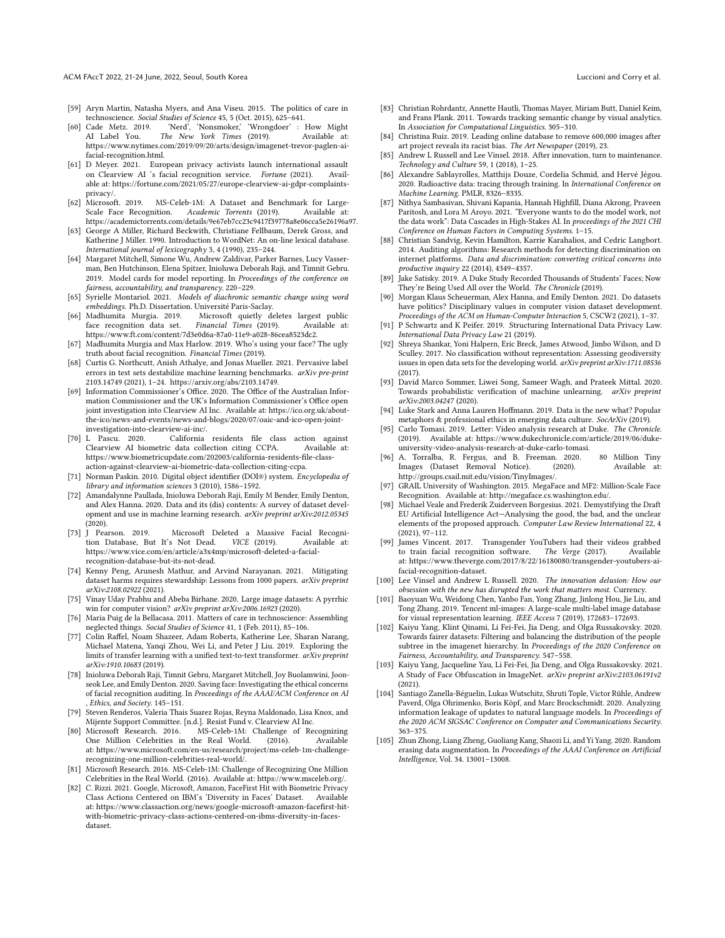ACM FAccT 2022, 21-24 June, 2022, Seoul, South Korea Luccioni and Corry et al.

- <span id="page-11-9"></span>[59] Aryn Martin, Natasha Myers, and Ana Viseu. 2015. The politics of care in technoscience. Social Studies of Science 45, 5 (Oct. 2015), 625–641.
- <span id="page-11-13"></span>[60] Cade Metz. 2019. 'Nerd', 'Nonsmoker,' 'Wrongdoer' : How Might AI Label You. The New York Times (2019). https://www.nytimes.com/2019/09/20/arts/design/imagenet-trevor-paglen-aifacial-recognition.html.
- <span id="page-11-37"></span>[61] D Meyer. 2021. European privacy activists launch international assault on Clearview AI 's facial recognition service. Fortune (2021). able at: https://fortune.com/2021/05/27/europe-clearview-ai-gdpr-complaints-
- <span id="page-11-26"></span>privacy/.<br>[62] Microsoft. 2019. MS-Celeb-1M: A Dataset and Benchmark for Large-<br>
enition. Academic Torrents (2019). Available at: Scale Face Recognition. Academic Torrents (2019). https://academictorrents.com/details/9e67eb7cc23c9417f39778a8e06cca5e26196a97.
- <span id="page-11-44"></span>[63] George A Miller, Richard Beckwith, Christiane Fellbaum, Derek Gross, and Katherine J Miller. 1990. Introduction to WordNet: An on-line lexical database. International journal of lexicography 3, 4 (1990), 235–244.
- <span id="page-11-0"></span>[64] Margaret Mitchell, Simone Wu, Andrew Zaldivar, Parker Barnes, Lucy Vasserman, Ben Hutchinson, Elena Spitzer, Inioluwa Deborah Raji, and Timnit Gebru. 2019. Model cards for model reporting. In Proceedings of the conference on fairness, accountability, and transparency. 220–229.
- <span id="page-11-29"></span>[65] Syrielle Montariol. 2021. Models of diachronic semantic change using word embeddings. Ph.D. Dissertation. Université Paris-Saclay.
- <span id="page-11-18"></span>Microsoft quietly deletes largest public<br>Financial Times (2019). Available at: face recognition data set. https://www.ft.com/content/7d3e0d6a-87a0-11e9-a028-86cea8523dc2.
- <span id="page-11-17"></span>[67] Madhumita Murgia and Max Harlow. 2019. Who's using your face? The ugly truth about facial recognition. Financial Times (2019).
- <span id="page-11-3"></span>[68] Curtis G. Northcutt, Anish Athalye, and Jonas Mueller. 2021. Pervasive label errors in test sets destabilize machine learning benchmarks. arXiv pre-print 2103.14749 (2021), 1–24. [https://arxiv.org/abs/2103.14749.](https://arxiv.org/abs/2103.14749)
- <span id="page-11-38"></span>[69] Information Commissioner's Office. 2020. The Office of the Australian Information Commissioner and the UK's Information Commissioner's Office open joint investigation into Clearview AI Inc. Available at: https://ico.org.uk/aboutthe-ico/news-and-events/news-and-blogs/2020/07/oaic-and-ico-open-jointinvestigation-into-clearview-ai-inc/.
- <span id="page-11-36"></span>[70] L Pascu. 2020. California residents file class action against Clearview AI biometric data collection citing CCPA. https://www.biometricupdate.com/202003/california-residents-file-classaction-against-clearview-ai-biometric-data-collection-citing-ccpa.
- <span id="page-11-11"></span>[71] Norman Paskin. 2010. Digital object identifier (DOI®) system. Encyclopedia of library and information sciences 3 (2010), 1586–1592.
- <span id="page-11-7"></span>[72] Amandalynne Paullada, Inioluwa Deborah Raji, Emily M Bender, Emily Denton, and Alex Hanna. 2020. Data and its (dis) contents: A survey of dataset development and use in machine learning research. arXiv preprint arXiv:2012.05345 (2020).
- <span id="page-11-25"></span>[73] J Pearson. 2019. Microsoft Deleted a Massive Facial Recognition Database, But It's Not Dead. VICE (2019). https://www.vice.com/en/article/a3x4mp/microsoft-deleted-a-facialrecognition-database-but-its-not-dead.
- <span id="page-11-1"></span>[74] Kenny Peng, Arunesh Mathur, and Arvind Narayanan. 2021. Mitigating dataset harms requires stewardship: Lessons from 1000 papers. arXiv preprint arXiv:2108.02922 (2021).
- <span id="page-11-4"></span>[75] Vinay Uday Prabhu and Abeba Birhane. 2020. Large image datasets: A pyrrhic win for computer vision? arXiv preprint arXiv:2006.16923 (2020).
- <span id="page-11-10"></span>[76] Maria Puig de la Bellacasa. 2011. Matters of care in technoscience: Assembling neglected things. Social Studies of Science 41, 1 (Feb. 2011), 85–106.
- <span id="page-11-31"></span>[77] Colin Raffel, Noam Shazeer, Adam Roberts, Katherine Lee, Sharan Narang, Michael Matena, Yanqi Zhou, Wei Li, and Peter J Liu. 2019. Exploring the limits of transfer learning with a unified text-to-text transformer. arXiv preprint arXiv:1910.10683 (2019).
- <span id="page-11-5"></span>[78] Inioluwa Deborah Raji, Timnit Gebru, Margaret Mitchell, Joy Buolamwini, Joonseok Lee, and Emily Denton. 2020. Saving face: Investigating the ethical concerns of facial recognition auditing. In Proceedings of the AAAI/ACM Conference on AI , Ethics, and Society. 145–151.
- <span id="page-11-35"></span>[79] Steven Renderos, Valeria Thais Suarez Rojas, Reyna Maldonado, Lisa Knox, and Mijente Support Committee. [n.d.]. Resist Fund v. Clearview AI Inc. [80] Microsoft Research. 2016. MS-Celeb-1M: Challenge of Re
- <span id="page-11-19"></span>MS-Celeb-1M: Challenge of Recognizing<br>he Real World. (2016). Available One Million Celebrities in the Real World. at: https://www.microsoft.com/en-us/research/project/ms-celeb-1m-challengerecognizing-one-million-celebrities-real-world/.
- <span id="page-11-24"></span>[81] Microsoft Research. 2016. MS-Celeb-1M: Challenge of Recognizing One Million Celebrities in the Real World. (2016). Available at: https://www.msceleb.org/.
- <span id="page-11-39"></span>[82] C. Rizzi. 2021. Google, Microsoft, Amazon, FaceFirst Hit with Biometric Privacy Class Actions Centered on IBM's 'Diversity in Faces' Dataset. Available at: https://www.classaction.org/news/google-microsoft-amazon-facefirst-hitwith-biometric-privacy-class-actions-centered-on-ibms-diversity-in-facesdataset.
- <span id="page-11-30"></span>[83] Christian Rohrdantz, Annette Hautli, Thomas Mayer, Miriam Butt, Daniel Keim, and Frans Plank. 2011. Towards tracking semantic change by visual analytics. In Association for Computational Linguistics. 305–310.
- <span id="page-11-14"></span>[84] Christina Ruiz. 2019. Leading online database to remove 600,000 images after art project reveals its racist bias. The Art Newspaper (2019), 23.
- <span id="page-11-45"></span>[85] Andrew L Russell and Lee Vinsel. 2018. After innovation, turn to maintenance. Technology and Culture 59, 1 (2018), 1–25.
- <span id="page-11-34"></span>[86] Alexandre Sablayrolles, Matthijs Douze, Cordelia Schmid, and Hervé Jégou. 2020. Radioactive data: tracing through training. In International Conference on Machine Learning. PMLR, 8326–8335.
- <span id="page-11-2"></span>[87] Nithya Sambasivan, Shivani Kapania, Hannah Highfill, Diana Akrong, Praveen Paritosh, and Lora M Aroyo. 2021. "Everyone wants to do the model work, not the data work": Data Cascades in High-Stakes AI. In proceedings of the 2021 CHI Conference on Human Factors in Computing Systems. 1–15.
- <span id="page-11-6"></span>[88] Christian Sandvig, Kevin Hamilton, Karrie Karahalios, and Cedric Langbort. 2014. Auditing algorithms: Research methods for detecting discrimination on internet platforms. Data and discrimination: converting critical concerns into productive inquiry 22 (2014), 4349–4357.
- <span id="page-11-20"></span>[89] Jake Satisky. 2019. A Duke Study Recorded Thousands of Students' Faces; Now They're Being Used All over the World. The Chronicle (2019).
- <span id="page-11-46"></span>[90] Morgan Klaus Scheuerman, Alex Hanna, and Emily Denton. 2021. Do datasets have politics? Disciplinary values in computer vision dataset development. Proceedings of the ACM on Human-Computer Interaction 5, CSCW2 (2021), 1–37.
- <span id="page-11-40"></span>[91] P Schwartz and K Peifer. 2019. Structuring International Data Privacy Law. International Data Privacy Law 21 (2019).
- <span id="page-11-43"></span>[92] Shreya Shankar, Yoni Halpern, Eric Breck, James Atwood, Jimbo Wilson, and D Sculley. 2017. No classification without representation: Assessing geodiversity issues in open data sets for the developing world. arXiv preprint arXiv:1711.08536 (2017).
- <span id="page-11-32"></span>[93] David Marco Sommer, Liwei Song, Sameer Wagh, and Prateek Mittal. 2020. Towards probabilistic verification of machine unlearning. arXiv preprint arXiv:2003.04247 (2020).
- <span id="page-11-42"></span>[94] Luke Stark and Anna Lauren Hoffmann. 2019. Data is the new what? Popular metaphors & professional ethics in emerging data culture. SocArXiv (2019).
- <span id="page-11-21"></span>[95] Carlo Tomasi. 2019. Letter: Video analysis research at Duke. The Chronicle. (2019). Available at: https://www.dukechronicle.com/article/2019/06/dukeuniversity-video-analysis-research-at-duke-carlo-tomasi.
- <span id="page-11-16"></span>[96] A. Torralba, R. Fergus, and B. Freeman. 2020. 80 Million Tiny Images (Dataset Removal Notice). (2020). Available at: http://groups.csail.mit.edu/vision/TinyImages/.
- <span id="page-11-22"></span>[97] GRAIL University of Washington. 2015. MegaFace and MF2: Million-Scale Face Recognition. Available at: http://megaface.cs.washington.edu/.
- <span id="page-11-41"></span>[98] Michael Veale and Frederik Zuiderveen Borgesius. 2021. Demystifying the Draft EU Artificial Intelligence Act—Analysing the good, the bad, and the unclear elements of the proposed approach. Computer Law Review International 22, 4 (2021), 97–112.
- <span id="page-11-23"></span>[99] James Vincent. 2017. Transgender YouTubers had their videos grabbed to train facial recognition software. The Verge (2017). Available to train facial recognition software. at: https://www.theverge.com/2017/8/22/16180080/transgender-youtubers-aifacial-recognition-dataset.
- <span id="page-11-12"></span>[100] Lee Vinsel and Andrew L Russell. 2020. The innovation delusion: How our obsession with the new has disrupted the work that matters most. Currency.
- <span id="page-11-28"></span>[101] Baoyuan Wu, Weidong Chen, Yanbo Fan, Yong Zhang, Jinlong Hou, Jie Liu, and Tong Zhang. 2019. Tencent ml-images: A large-scale multi-label image database for visual representation learning. IEEE Access 7 (2019), 172683–172693.
- <span id="page-11-8"></span>[102] Kaiyu Yang, Klint Qinami, Li Fei-Fei, Jia Deng, and Olga Russakovsky. 2020. Towards fairer datasets: Filtering and balancing the distribution of the people subtree in the imagenet hierarchy. In Proceedings of the 2020 Conference on Fairness, Accountability, and Transparency. 547–558.
- <span id="page-11-15"></span>[103] Kaiyu Yang, Jacqueline Yau, Li Fei-Fei, Jia Deng, and Olga Russakovsky. 2021. A Study of Face Obfuscation in ImageNet. arXiv preprint arXiv:2103.06191v2 (2021).
- <span id="page-11-33"></span>[104] Santiago Zanella-Béguelin, Lukas Wutschitz, Shruti Tople, Victor Rühle, Andrew Paverd, Olga Ohrimenko, Boris Köpf, and Marc Brockschmidt. 2020. Analyzing information leakage of updates to natural language models. In Proceedings of the 2020 ACM SIGSAC Conference on Computer and Communications Security. 363–375.
- <span id="page-11-27"></span>[105] Zhun Zhong, Liang Zheng, Guoliang Kang, Shaozi Li, and Yi Yang. 2020. Random erasing data augmentation. In Proceedings of the AAAI Conference on Artificial Intelligence, Vol. 34. 13001–13008.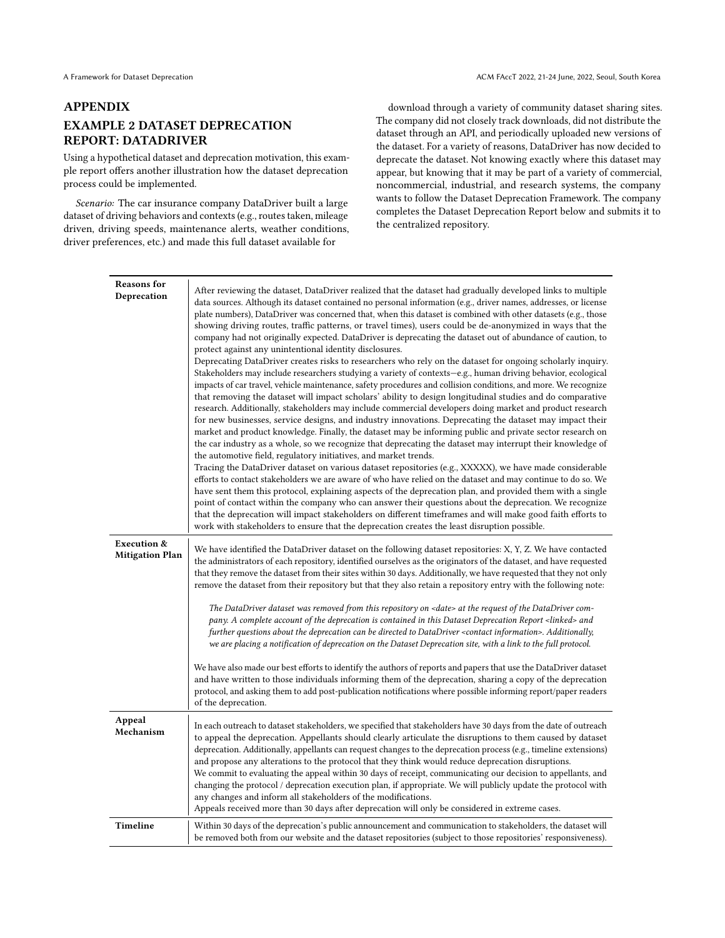# APPENDIX EXAMPLE 2 DATASET DEPRECATION REPORT: DATADRIVER

Using a hypothetical dataset and deprecation motivation, this example report offers another illustration how the dataset deprecation process could be implemented.

Scenario: The car insurance company DataDriver built a large dataset of driving behaviors and contexts (e.g., routes taken, mileage driven, driving speeds, maintenance alerts, weather conditions, driver preferences, etc.) and made this full dataset available for

download through a variety of community dataset sharing sites. The company did not closely track downloads, did not distribute the dataset through an API, and periodically uploaded new versions of the dataset. For a variety of reasons, DataDriver has now decided to deprecate the dataset. Not knowing exactly where this dataset may appear, but knowing that it may be part of a variety of commercial, noncommercial, industrial, and research systems, the company wants to follow the Dataset Deprecation Framework. The company completes the Dataset Deprecation Report below and submits it to the centralized repository.

| <b>Reasons</b> for<br>Deprecation                | After reviewing the dataset, DataDriver realized that the dataset had gradually developed links to multiple<br>data sources. Although its dataset contained no personal information (e.g., driver names, addresses, or license<br>plate numbers), DataDriver was concerned that, when this dataset is combined with other datasets (e.g., those<br>showing driving routes, traffic patterns, or travel times), users could be de-anonymized in ways that the<br>company had not originally expected. DataDriver is deprecating the dataset out of abundance of caution, to<br>protect against any unintentional identity disclosures.<br>Deprecating DataDriver creates risks to researchers who rely on the dataset for ongoing scholarly inquiry.<br>Stakeholders may include researchers studying a variety of contexts—e.g., human driving behavior, ecological<br>impacts of car travel, vehicle maintenance, safety procedures and collision conditions, and more. We recognize<br>that removing the dataset will impact scholars' ability to design longitudinal studies and do comparative<br>research. Additionally, stakeholders may include commercial developers doing market and product research<br>for new businesses, service designs, and industry innovations. Deprecating the dataset may impact their<br>market and product knowledge. Finally, the dataset may be informing public and private sector research on<br>the car industry as a whole, so we recognize that deprecating the dataset may interrupt their knowledge of<br>the automotive field, regulatory initiatives, and market trends.<br>Tracing the DataDriver dataset on various dataset repositories (e.g., XXXXX), we have made considerable<br>efforts to contact stakeholders we are aware of who have relied on the dataset and may continue to do so. We<br>have sent them this protocol, explaining aspects of the deprecation plan, and provided them with a single<br>point of contact within the company who can answer their questions about the deprecation. We recognize<br>that the deprecation will impact stakeholders on different timeframes and will make good faith efforts to<br>work with stakeholders to ensure that the deprecation creates the least disruption possible. |
|--------------------------------------------------|-----------------------------------------------------------------------------------------------------------------------------------------------------------------------------------------------------------------------------------------------------------------------------------------------------------------------------------------------------------------------------------------------------------------------------------------------------------------------------------------------------------------------------------------------------------------------------------------------------------------------------------------------------------------------------------------------------------------------------------------------------------------------------------------------------------------------------------------------------------------------------------------------------------------------------------------------------------------------------------------------------------------------------------------------------------------------------------------------------------------------------------------------------------------------------------------------------------------------------------------------------------------------------------------------------------------------------------------------------------------------------------------------------------------------------------------------------------------------------------------------------------------------------------------------------------------------------------------------------------------------------------------------------------------------------------------------------------------------------------------------------------------------------------------------------------------------------------------------------------------------------------------------------------------------------------------------------------------------------------------------------------------------------------------------------------------------------------------------------------------------------------------------------------------------------------------------------------------------------------------------------------------------------------------|
| <b>Execution &amp;</b><br><b>Mitigation Plan</b> | We have identified the DataDriver dataset on the following dataset repositories: X, Y, Z. We have contacted<br>the administrators of each repository, identified ourselves as the originators of the dataset, and have requested<br>that they remove the dataset from their sites within 30 days. Additionally, we have requested that they not only<br>remove the dataset from their repository but that they also retain a repository entry with the following note:<br>The DataDriver dataset was removed from this repository on <date> at the request of the DataDriver com-<br/>pany. A complete account of the deprecation is contained in this Dataset Deprecation Report <linked> and<br/>further questions about the deprecation can be directed to DataDriver <contact information="">. Additionally,<br/>we are placing a notification of deprecation on the Dataset Deprecation site, with a link to the full protocol.</contact></linked></date>                                                                                                                                                                                                                                                                                                                                                                                                                                                                                                                                                                                                                                                                                                                                                                                                                                                                                                                                                                                                                                                                                                                                                                                                                                                                                                                          |
|                                                  | We have also made our best efforts to identify the authors of reports and papers that use the DataDriver dataset<br>and have written to those individuals informing them of the deprecation, sharing a copy of the deprecation<br>protocol, and asking them to add post-publication notifications where possible informing report/paper readers<br>of the deprecation.                                                                                                                                                                                                                                                                                                                                                                                                                                                                                                                                                                                                                                                                                                                                                                                                                                                                                                                                                                                                                                                                                                                                                                                                                                                                                                                                                                                                                                                                                                                                                                                                                                                                                                                                                                                                                                                                                                                  |
| Appeal<br>Mechanism                              | In each outreach to dataset stakeholders, we specified that stakeholders have 30 days from the date of outreach<br>to appeal the deprecation. Appellants should clearly articulate the disruptions to them caused by dataset<br>deprecation. Additionally, appellants can request changes to the deprecation process (e.g., timeline extensions)<br>and propose any alterations to the protocol that they think would reduce deprecation disruptions.<br>We commit to evaluating the appeal within 30 days of receipt, communicating our decision to appellants, and<br>changing the protocol / deprecation execution plan, if appropriate. We will publicly update the protocol with<br>any changes and inform all stakeholders of the modifications.<br>Appeals received more than 30 days after deprecation will only be considered in extreme cases.                                                                                                                                                                                                                                                                                                                                                                                                                                                                                                                                                                                                                                                                                                                                                                                                                                                                                                                                                                                                                                                                                                                                                                                                                                                                                                                                                                                                                                |
| <b>Timeline</b>                                  | Within 30 days of the deprecation's public announcement and communication to stakeholders, the dataset will<br>be removed both from our website and the dataset repositories (subject to those repositories' responsiveness).                                                                                                                                                                                                                                                                                                                                                                                                                                                                                                                                                                                                                                                                                                                                                                                                                                                                                                                                                                                                                                                                                                                                                                                                                                                                                                                                                                                                                                                                                                                                                                                                                                                                                                                                                                                                                                                                                                                                                                                                                                                           |